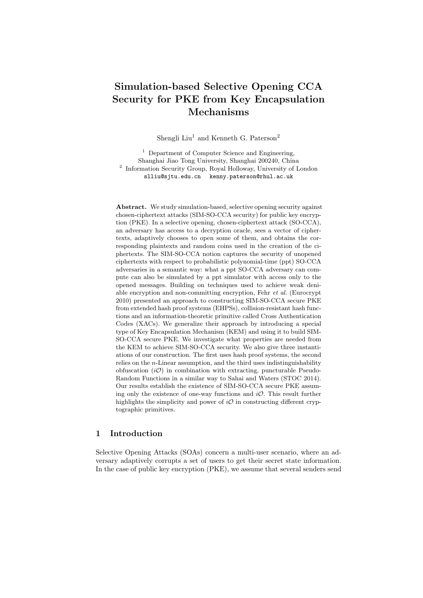# Simulation-based Selective Opening CCA Security for PKE from Key Encapsulation Mechanisms

Shengli Liu<sup>1</sup> and Kenneth G. Paterson<sup>2</sup>

<sup>1</sup> Department of Computer Science and Engineering, Shanghai Jiao Tong University, Shanghai 200240, China <sup>2</sup> Information Security Group, Royal Holloway, University of London slliu@sjtu.edu.cn kenny.paterson@rhul.ac.uk

Abstract. We study simulation-based, selective opening security against chosen-ciphertext attacks (SIM-SO-CCA security) for public key encryption (PKE). In a selective opening, chosen-ciphertext attack (SO-CCA), an adversary has access to a decryption oracle, sees a vector of ciphertexts, adaptively chooses to open some of them, and obtains the corresponding plaintexts and random coins used in the creation of the ciphertexts. The SIM-SO-CCA notion captures the security of unopened ciphertexts with respect to probabilistic polynomial-time (ppt) SO-CCA adversaries in a semantic way: what a ppt SO-CCA adversary can compute can also be simulated by a ppt simulator with access only to the opened messages. Building on techniques used to achieve weak deniable encryption and non-committing encryption, Fehr et al. (Eurocrypt 2010) presented an approach to constructing SIM-SO-CCA secure PKE from extended hash proof systems (EHPSs), collision-resistant hash functions and an information-theoretic primitive called Cross Authentication Codes (XACs). We generalize their approach by introducing a special type of Key Encapsulation Mechanism (KEM) and using it to build SIM-SO-CCA secure PKE. We investigate what properties are needed from the KEM to achieve SIM-SO-CCA security. We also give three instantiations of our construction. The first uses hash proof systems, the second relies on the n-Linear assumption, and the third uses indistinguishability obfuscation  $(i\mathcal{O})$  in combination with extracting, puncturable Pseudo-Random Functions in a similar way to Sahai and Waters (STOC 2014). Our results establish the existence of SIM-SO-CCA secure PKE assuming only the existence of one-way functions and  $i\mathcal{O}$ . This result further highlights the simplicity and power of  $i\mathcal{O}$  in constructing different cryptographic primitives.

# 1 Introduction

Selective Opening Attacks (SOAs) concern a multi-user scenario, where an adversary adaptively corrupts a set of users to get their secret state information. In the case of public key encryption (PKE), we assume that several senders send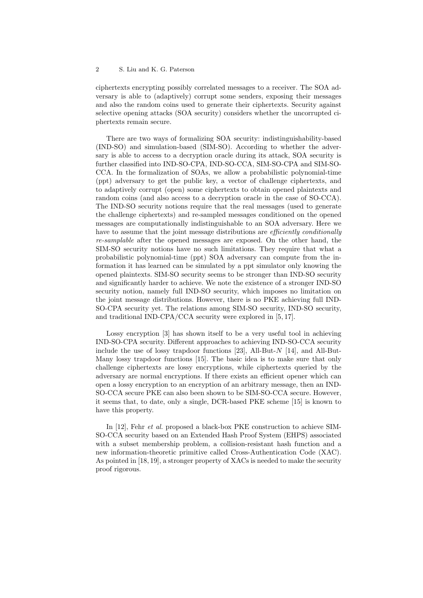ciphertexts encrypting possibly correlated messages to a receiver. The SOA adversary is able to (adaptively) corrupt some senders, exposing their messages and also the random coins used to generate their ciphertexts. Security against selective opening attacks (SOA security) considers whether the uncorrupted ciphertexts remain secure.

There are two ways of formalizing SOA security: indistinguishability-based (IND-SO) and simulation-based (SIM-SO). According to whether the adversary is able to access to a decryption oracle during its attack, SOA security is further classified into IND-SO-CPA, IND-SO-CCA, SIM-SO-CPA and SIM-SO-CCA. In the formalization of SOAs, we allow a probabilistic polynomial-time (ppt) adversary to get the public key, a vector of challenge ciphertexts, and to adaptively corrupt (open) some ciphertexts to obtain opened plaintexts and random coins (and also access to a decryption oracle in the case of SO-CCA). The IND-SO security notions require that the real messages (used to generate the challenge ciphertexts) and re-sampled messages conditioned on the opened messages are computationally indistinguishable to an SOA adversary. Here we have to assume that the joint message distributions are *efficiently conditionally* re-samplable after the opened messages are exposed. On the other hand, the SIM-SO security notions have no such limitations. They require that what a probabilistic polynomial-time (ppt) SOA adversary can compute from the information it has learned can be simulated by a ppt simulator only knowing the opened plaintexts. SIM-SO security seems to be stronger than IND-SO security and significantly harder to achieve. We note the existence of a stronger IND-SO security notion, namely full IND-SO security, which imposes no limitation on the joint message distributions. However, there is no PKE achieving full IND-SO-CPA security yet. The relations among SIM-SO security, IND-SO security, and traditional IND-CPA/CCA security were explored in [5, 17].

Lossy encryption [3] has shown itself to be a very useful tool in achieving IND-SO-CPA security. Different approaches to achieving IND-SO-CCA security include the use of lossy trapdoor functions [23], All-But-N [14], and All-But-Many lossy trapdoor functions [15]. The basic idea is to make sure that only challenge ciphertexts are lossy encryptions, while ciphertexts queried by the adversary are normal encryptions. If there exists an efficient opener which can open a lossy encryption to an encryption of an arbitrary message, then an IND-SO-CCA secure PKE can also been shown to be SIM-SO-CCA secure. However, it seems that, to date, only a single, DCR-based PKE scheme [15] is known to have this property.

In [12], Fehr et al. proposed a black-box PKE construction to achieve SIM-SO-CCA security based on an Extended Hash Proof System (EHPS) associated with a subset membership problem, a collision-resistant hash function and a new information-theoretic primitive called Cross-Authentication Code (XAC). As pointed in [18, 19], a stronger property of XACs is needed to make the security proof rigorous.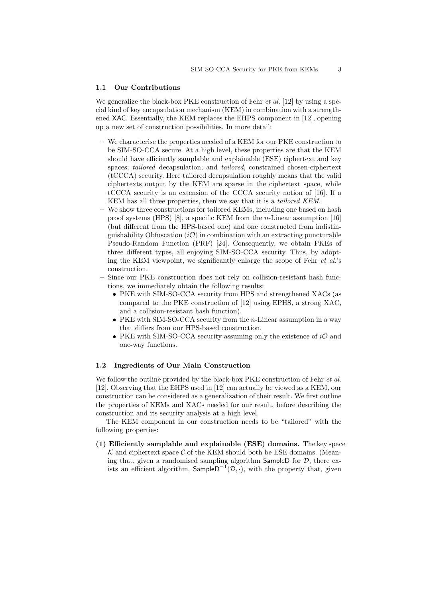#### 1.1 Our Contributions

We generalize the black-box PKE construction of Fehr *et al.* [12] by using a special kind of key encapsulation mechanism (KEM) in combination with a strengthened XAC. Essentially, the KEM replaces the EHPS component in [12], opening up a new set of construction possibilities. In more detail:

- We characterise the properties needed of a KEM for our PKE construction to be SIM-SO-CCA secure. At a high level, these properties are that the KEM should have efficiently samplable and explainable (ESE) ciphertext and key spaces; tailored decapsulation; and tailored, constrained chosen-ciphertext (tCCCA) security. Here tailored decapsulation roughly means that the valid ciphertexts output by the KEM are sparse in the ciphertext space, while tCCCA security is an extension of the CCCA security notion of [16]. If a KEM has all three properties, then we say that it is a *tailored KEM*.
- We show three constructions for tailored KEMs, including one based on hash proof systems (HPS) [8], a specific KEM from the n-Linear assumption [16] (but different from the HPS-based one) and one constructed from indistinguishability Obfuscation  $(i\mathcal{O})$  in combination with an extracting puncturable Pseudo-Random Function (PRF) [24]. Consequently, we obtain PKEs of three different types, all enjoying SIM-SO-CCA security. Thus, by adopting the KEM viewpoint, we significantly enlarge the scope of Fehr et al.'s construction.
- Since our PKE construction does not rely on collision-resistant hash functions, we immediately obtain the following results:
	- PKE with SIM-SO-CCA security from HPS and strengthened XACs (as compared to the PKE construction of [12] using EPHS, a strong XAC, and a collision-resistant hash function).
	- PKE with SIM-SO-CCA security from the *n*-Linear assumption in a way that differs from our HPS-based construction.
	- PKE with SIM-SO-CCA security assuming only the existence of  $i\mathcal{O}$  and one-way functions.

## 1.2 Ingredients of Our Main Construction

We follow the outline provided by the black-box PKE construction of Fehr *et al.* [12]. Observing that the EHPS used in [12] can actually be viewed as a KEM, our construction can be considered as a generalization of their result. We first outline the properties of KEMs and XACs needed for our result, before describing the construction and its security analysis at a high level.

The KEM component in our construction needs to be "tailored" with the following properties:

(1) Efficiently samplable and explainable (ESE) domains. The key space  $\mathcal K$  and ciphertext space  $\mathcal C$  of the KEM should both be ESE domains. (Meaning that, given a randomised sampling algorithm  $S$ ampleD for  $D$ , there exists an efficient algorithm,  $\mathsf{SampleD}^{-1}(\mathcal{D}, \cdot)$ , with the property that, given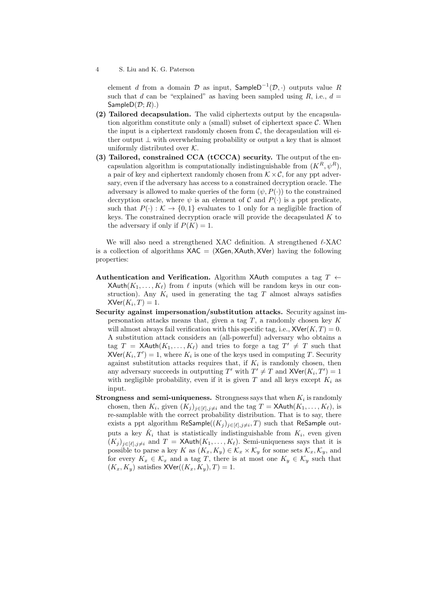element d from a domain  $\mathcal D$  as input, SampleD<sup>-1</sup>( $\mathcal D$ , ·) outputs value R such that d can be "explained" as having been sampled using  $R$ , i.e.,  $d =$ SampleD $(\mathcal{D}; R)$ .)

- (2) Tailored decapsulation. The valid ciphertexts output by the encapsulation algorithm constitute only a (small) subset of ciphertext space  $\mathcal{C}$ . When the input is a ciphertext randomly chosen from  $\mathcal{C}$ , the decapsulation will either output  $\perp$  with overwhelming probability or output a key that is almost uniformly distributed over  $K$ .
- (3) Tailored, constrained CCA (tCCCA) security. The output of the encapsulation algorithm is computationally indistinguishable from  $(K^R, \psi^R)$ , a pair of key and ciphertext randomly chosen from  $K \times \mathcal{C}$ , for any ppt adversary, even if the adversary has access to a constrained decryption oracle. The adversary is allowed to make queries of the form  $(\psi, P(\cdot))$  to the constrained decryption oracle, where  $\psi$  is an element of C and  $P(\cdot)$  is a ppt predicate, such that  $P(\cdot): \mathcal{K} \to \{0, 1\}$  evaluates to 1 only for a negligible fraction of keys. The constrained decryption oracle will provide the decapsulated  $K$  to the adversary if only if  $P(K) = 1$ .

We will also need a strengthened XAC definition. A strengthened  $\ell$ -XAC is a collection of algorithms  $XAC = (XGen, XAuth, XVer)$  having the following properties:

- Authentication and Verification. Algorithm XAuth computes a tag  $T \leftarrow$  $X\text{Auth}(K_1, \ldots, K_\ell)$  from  $\ell$  inputs (which will be random keys in our construction). Any  $K_i$  used in generating the tag T almost always satisfies  $X \mathsf{Ver}(K_i,T) = 1.$
- Security against impersonation/substitution attacks. Security against impersonation attacks means that, given a tag  $T$ , a randomly chosen key  $K$ will almost always fail verification with this specific tag, i.e.,  $X\text{Ver}(K, T) = 0$ . A substitution attack considers an (all-powerful) adversary who obtains a tag  $T = \mathsf{X} \mathsf{Auth}(K_1, \ldots, K_\ell)$  and tries to forge a tag  $T' \neq T$  such that  $XVer(K_i, T') = 1$ , where  $K_i$  is one of the keys used in computing T. Security against substitution attacks requires that, if  $K_i$  is randomly chosen, then any adversary succeeds in outputting  $T'$  with  $T' \neq T$  and  $XVer(K_i, T') = 1$ with negligible probability, even if it is given T and all keys except  $K_i$  as input.
- **Strongness and semi-uniqueness.** Strongness says that when  $K_i$  is randomly chosen, then  $K_i$ , given  $(K_j)_{j\in[\ell],j\neq i}$  and the tag  $T = \mathsf{XAuthor}(K_1,\ldots,K_\ell)$ , is re-samplable with the correct probability distribution. That is to say, there exists a ppt algorithm ReSample $((K_j)_{j\in[\ell],j\neq i},T)$  such that ReSample outputs a key  $\hat{K}_i$  that is statistically indistinguishable from  $K_i$ , even given  $(K_j)_{j\in[\ell],j\neq i}$  and  $T = \mathsf{X}\mathsf{Auth}(K_1,\ldots,K_\ell)$ . Semi-uniqueness says that it is possible to parse a key K as  $(K_x, K_y) \in \mathcal{K}_x \times \mathcal{K}_y$  for some sets  $\mathcal{K}_x, \mathcal{K}_y$ , and for every  $K_x \in \mathcal{K}_x$  and a tag T, there is at most one  $K_y \in \mathcal{K}_y$  such that  $(K_x, K_y)$  satisfies  $XVer((K_x, K_y), T) = 1.$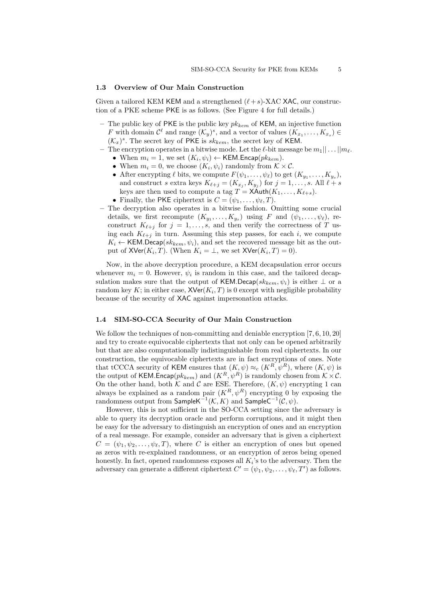#### 1.3 Overview of Our Main Construction

Given a tailored KEM KEM and a strengthened  $(\ell+s)$ -XAC XAC, our construction of a PKE scheme PKE is as follows. (See Figure 4 for full details.)

- The public key of PKE is the public key  $pk_{kem}$  of KEM, an injective function F with domain  $\mathcal{C}^{\ell}$  and range  $(\mathcal{K}_y)^s$ , and a vector of values  $(K_{x_1}, \ldots, K_{x_s}) \in$  $(\mathcal{K}_x)^s$ . The secret key of PKE is  $sk_{kem}$ , the secret key of KEM.
- The encryption operates in a bitwise mode. Let the  $\ell$ -bit message be  $m_1|| \dots ||m_\ell$ . • When  $m_i = 1$ , we set  $(K_i, \psi_i) \leftarrow \text{KEM}$ . Encap $(pk_{kem})$ .
	- When  $m_i = 0$ , we choose  $(K_i, \psi_i)$  randomly from  $K \times \mathcal{C}$ .
	- After encrypting  $\ell$  bits, we compute  $F(\psi_1, \ldots, \psi_\ell)$  to get  $(K_{y_1}, \ldots, K_{y_s}),$ and construct s extra keys  $K_{\ell+j} = (K_{x_j}, K_{y_j})$  for  $j = 1, ..., s$ . All  $\ell + s$ keys are then used to compute a tag  $T = X$ Auth $(K_1, \ldots, K_{\ell+s})$ .
	- Finally, the PKE ciphertext is  $C = (\psi_1, \dots, \psi_\ell, T)$ .
- The decryption also operates in a bitwise fashion. Omitting some crucial details, we first recompute  $(K_{y_1},...,K_{y_s})$  using F and  $(\psi_1,...,\psi_\ell)$ , reconstruct  $K_{\ell+j}$  for  $j = 1, ..., s$ , and then verify the correctness of T using each  $K_{\ell+i}$  in turn. Assuming this step passes, for each i, we compute  $K_i \leftarrow \text{KEM.Decap}(sk_{kem}, \psi_i)$ , and set the recovered message bit as the output of  $X\text{Ver}(K_i, T)$ . (When  $K_i = \bot$ , we set  $X\text{Ver}(K_i, T) = 0$ ).

Now, in the above decryption procedure, a KEM decapsulation error occurs whenever  $m_i = 0$ . However,  $\psi_i$  is random in this case, and the tailored decapsulation makes sure that the output of KEM.Decap( $sk_{kem}, \psi_i$ ) is either  $\bot$  or a random key K; in either case,  $\mathsf{XVer}(K_i, T)$  is 0 except with negligible probability because of the security of XAC against impersonation attacks.

#### 1.4 SIM-SO-CCA Security of Our Main Construction

We follow the techniques of non-committing and deniable encryption  $[7, 6, 10, 20]$ and try to create equivocable ciphertexts that not only can be opened arbitrarily but that are also computationally indistinguishable from real ciphertexts. In our construction, the equivocable ciphertexts are in fact encryptions of ones. Note that tCCCA security of KEM ensures that  $(K, \psi) \approx_c (K^R, \psi^R)$ , where  $(K, \psi)$  is the output of KEM.Encap $(pk_{kem})$  and  $(K^R, \psi^R)$  is randomly chosen from  $K \times C$ . On the other hand, both  $K$  and  $C$  are ESE. Therefore,  $(K, \psi)$  encrypting 1 can always be explained as a random pair  $(K^R, \psi^R)$  encrypting 0 by exposing the randomness output from  $\mathsf{SampleK}^{-1}(\mathcal{K}, K)$  and  $\mathsf{SampleC}^{-1}(\mathcal{C}, \psi)$ .

However, this is not sufficient in the SO-CCA setting since the adversary is able to query its decryption oracle and perform corruptions, and it might then be easy for the adversary to distinguish an encryption of ones and an encryption of a real message. For example, consider an adversary that is given a ciphertext  $C = (\psi_1, \psi_2, \dots, \psi_\ell, T)$ , where C is either an encryption of ones but opened as zeros with re-explained randomness, or an encryption of zeros being opened honestly. In fact, opened randomness exposes all  $K_i$ 's to the adversary. Then the adversary can generate a different ciphertext  $C' = (\psi_1, \psi_2, \dots, \psi_\ell, T')$  as follows.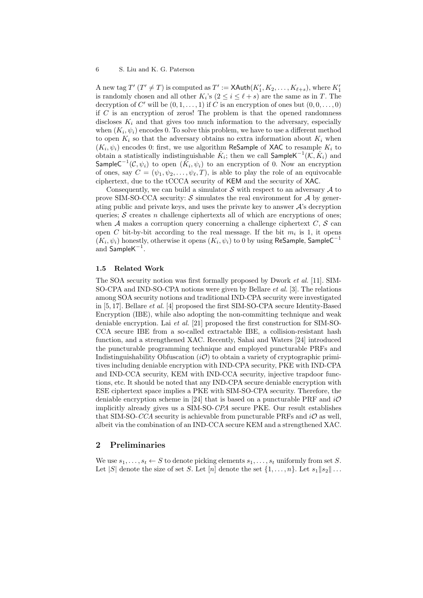A new tag  $T'$   $(T' \neq T)$  is computed as  $T' := \mathsf{X}\mathsf{Auth}(K'_1, K_2, \ldots, K_{\ell+s}),$  where  $K'_1$ is randomly chosen and all other  $K_i$ 's  $(2 \leq i \leq \ell + s)$  are the same as in T. The decryption of C' will be  $(0, 1, \ldots, 1)$  if C is an encryption of ones but  $(0, 0, \ldots, 0)$ if  $C$  is an encryption of zeros! The problem is that the opened randomness discloses  $K_i$  and that gives too much information to the adversary, especially when  $(K_i, \psi_i)$  encodes 0. To solve this problem, we have to use a different method to open  $K_i$  so that the adversary obtains no extra information about  $K_i$  when  $(K_i, \psi_i)$  encodes 0: first, we use algorithm ReSample of XAC to resample  $K_i$  to obtain a statistically indistinguishable  $\hat{K}_i$ ; then we call  $\mathsf{SampleK}^{-1}(\mathcal{K}, \hat{K}_i)$  and SampleC $^{-1}(\mathcal{C},\psi_i)$  to open  $(\hat{K_i},\psi_i)$  to an encryption of 0. Now an encryption of ones, say  $C = (\psi_1, \psi_2, \dots, \psi_{\ell}, T)$ , is able to play the role of an equivocable ciphertext, due to the tCCCA security of KEM and the security of XAC.

Consequently, we can build a simulator  $\mathcal S$  with respect to an adversary  $\mathcal A$  to prove SIM-SO-CCA security:  $S$  simulates the real environment for  $A$  by generating public and private keys, and uses the private key to answer  $\mathcal{A}$ 's decryption queries; S creates n challenge ciphertexts all of which are encryptions of ones; when  $A$  makes a corruption query concerning a challenge ciphertext  $C, S$  can open C bit-by-bit according to the real message. If the bit  $m_i$  is 1, it opens  $(K_i, \psi_i)$  honestly, otherwise it opens  $(K_i, \psi_i)$  to 0 by using ReSample, SampleC<sup>-1</sup> and SampleK $^{-1}$ .

#### 1.5 Related Work

The SOA security notion was first formally proposed by Dwork et al. [11]. SIM-SO-CPA and IND-SO-CPA notions were given by Bellare et al. [3]. The relations among SOA security notions and traditional IND-CPA security were investigated in [5, 17]. Bellare et al. [4] proposed the first SIM-SO-CPA secure Identity-Based Encryption (IBE), while also adopting the non-committing technique and weak deniable encryption. Lai et al. [21] proposed the first construction for SIM-SO-CCA secure IBE from a so-called extractable IBE, a collision-resistant hash function, and a strengthened XAC. Recently, Sahai and Waters [24] introduced the puncturable programming technique and employed puncturable PRFs and Indistinguishability Obfuscation  $(i\mathcal{O})$  to obtain a variety of cryptographic primitives including deniable encryption with IND-CPA security, PKE with IND-CPA and IND-CCA security, KEM with IND-CCA security, injective trapdoor functions, etc. It should be noted that any IND-CPA secure deniable encryption with ESE ciphertext space implies a PKE with SIM-SO-CPA security. Therefore, the deniable encryption scheme in [24] that is based on a puncturable PRF and  $i\mathcal{O}$ implicitly already gives us a SIM-SO-CPA secure PKE. Our result establishes that SIM-SO-CCA security is achievable from puncturable PRFs and  $i\mathcal{O}$  as well. albeit via the combination of an IND-CCA secure KEM and a strengthened XAC.

# 2 Preliminaries

We use  $s_1, \ldots, s_t \leftarrow S$  to denote picking elements  $s_1, \ldots, s_t$  uniformly from set S. Let |S| denote the size of set S. Let  $[n]$  denote the set  $\{1, \ldots, n\}$ . Let  $s_1||s_2|| \ldots$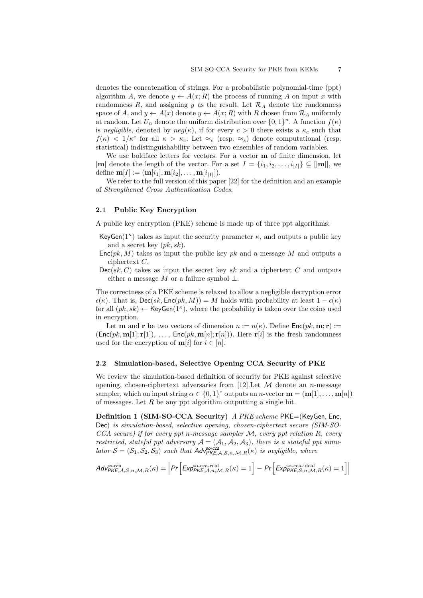denotes the concatenation of strings. For a probabilistic polynomial-time (ppt) algorithm A, we denote  $y \leftarrow A(x;R)$  the process of running A on input x with randomness R, and assigning y as the result. Let  $\mathcal{R}_A$  denote the randomness space of A, and  $y \leftarrow A(x)$  denote  $y \leftarrow A(x; R)$  with R chosen from  $\mathcal{R}_A$  uniformly at random. Let  $U_n$  denote the uniform distribution over  $\{0,1\}^n$ . A function  $f(\kappa)$ is negligible, denoted by  $neg(\kappa)$ , if for every  $c > 0$  there exists a  $\kappa_c$  such that  $f(\kappa) < 1/\kappa^c$  for all  $\kappa > \kappa_c$ . Let  $\approx_c$  (resp.  $\approx_s$ ) denote computational (resp. statistical) indistinguishability between two ensembles of random variables.

We use boldface letters for vectors. For a vector m of finite dimension, let |m| denote the length of the vector. For a set  $I = \{i_1, i_2, \ldots, i_{|I|}\} \subseteq [m]$ , we  $\text{define } \mathbf{m}[I]:=(\mathbf{m}[i_1], \mathbf{m}[i_2], \ldots, \mathbf{m}[i_{|I|}]).$ 

We refer to the full version of this paper [22] for the definition and an example of Strengthened Cross Authentication Codes.

#### 2.1 Public Key Encryption

A public key encryption (PKE) scheme is made up of three ppt algorithms:

- KeyGen( $1^{\kappa}$ ) takes as input the security parameter  $\kappa$ , and outputs a public key and a secret key  $(pk, sk)$ .
- $Enc(pk, M)$  takes as input the public key pk and a message M and outputs a ciphertext C.
- $Dec(sk, C)$  takes as input the secret key sk and a ciphertext C and outputs either a message M or a failure symbol  $\perp$ .

The correctness of a PKE scheme is relaxed to allow a negligible decryption error  $\epsilon(\kappa)$ . That is, Dec(sk, Enc(pk, M)) = M holds with probability at least  $1 - \epsilon(\kappa)$ for all  $(pk, sk) \leftarrow \text{KeyGen}(1^{\kappa})$ , where the probability is taken over the coins used in encryption.

Let **m** and **r** be two vectors of dimension  $n := n(\kappa)$ . Define  $Enc(pk, m; r) :=$  $(Enc(pk, m[1]; r[1]), \ldots, Enc(pk, m[n]; r[n])$ . Here  $r[i]$  is the fresh randomness used for the encryption of  $m[i]$  for  $i \in [n]$ .

# 2.2 Simulation-based, Selective Opening CCA Security of PKE

We review the simulation-based definition of security for PKE against selective opening, chosen-ciphertext adversaries from [12]. Let  $\mathcal M$  denote an *n*-message sampler, which on input string  $\alpha \in \{0,1\}^*$  outputs an *n*-vector  $\mathbf{m} = (\mathbf{m}[1], \ldots, \mathbf{m}[n])$ of messages. Let  $R$  be any ppt algorithm outputting a single bit.

Definition 1 (SIM-SO-CCA Security) A PKE scheme PKE=(KeyGen, Enc, Dec) is simulation-based, selective opening, chosen-ciphertext secure (SIM-SO- $CCA$  secure) if for every ppt n-message sampler  $M$ , every ppt relation  $R$ , every restricted, stateful ppt adversary  $A = (A_1, A_2, A_3)$ , there is a stateful ppt simulator  $S = (S_1, S_2, S_3)$  such that  $Adv_{PKE, A, S, n, \mathcal{M}, R}^{S_2 \text{ cca}}(\kappa)$  is negligible, where

$$
Adv_{PKE,A,S,n,\mathcal{M},R}^{so\text{-}cca}(\kappa) = \left| Pr \left[ Exp_{PKE,A,n,\mathcal{M},R}^{so\text{-}cca}\left(\kappa\right) = 1 \right] - Pr \left[ Exp_{PKE,S,n,\mathcal{M},R}^{so\text{-}cca\text{-}ideal}\left(\kappa\right) = 1 \right] \right|
$$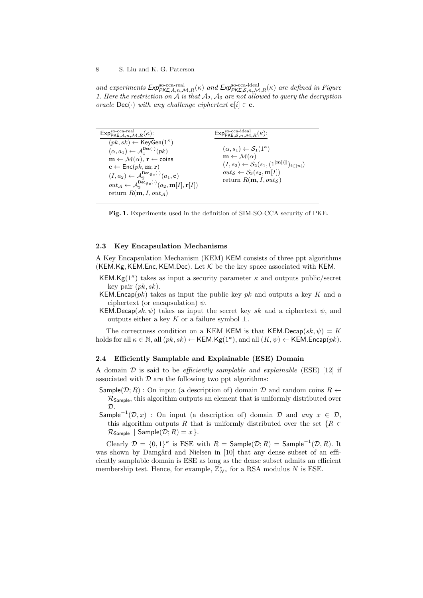and experiments  $Exp_{\mathsf{PKE},A,n,\mathcal{M},R}^{\text{so-cca-real}}(\kappa)$  and  $Exp_{\mathsf{PKE},S,n,\mathcal{M},R}^{\text{so-cca-ideal}}(\kappa)$  are defined in Figure 1. Here the restriction on  $A$  is that  $A_2$ ,  $A_3$  are not allowed to query the decryption oracle  $\text{Dec}(\cdot)$  with any challenge ciphertext  $\textbf{c}[i] \in \textbf{c}$ .

| $Exp_{\mathsf{PKE},A,n,\mathcal{M},R}^{\text{so-cca-real}}(\kappa)$ :                                                       | $Exp_{PKE, S, n, M, R}^{so\text{-}cca\text{-}ideal}(\kappa):$  |
|-----------------------------------------------------------------------------------------------------------------------------|----------------------------------------------------------------|
| $(pk, sk) \leftarrow \mathsf{KeyGen}(1^{\kappa})$                                                                           |                                                                |
| $(\alpha, a_1) \leftarrow \mathcal{A}_1^{\mathsf{Dec}(\cdot)}(pk)$                                                          | $(\alpha, s_1) \leftarrow \mathcal{S}_1(1^{\kappa})$           |
| $\mathbf{m} \leftarrow \mathcal{M}(\alpha)$ , $\mathbf{r} \leftarrow$ coins                                                 | $\mathbf{m} \leftarrow \mathcal{M}(\alpha)$                    |
| $\mathbf{c} \leftarrow \mathsf{Enc}(pk, \mathbf{m}; \mathbf{r})$                                                            | $(I, s_2) \leftarrow S_2(s_1, (1^{ m[i] })_{i \in [n]})$       |
| $(I, a_2) \leftarrow \mathcal{A}_2^{\mathsf{Dec}_{\notin\mathbf{c}}(\cdot)}(a_1, \mathbf{c})$                               | $out_S \leftarrow S_3(s_2, m[I])$<br>return $R(m, I, out_{S})$ |
| $out_{\mathcal{A}} \leftarrow \mathcal{A}_{3}^{\text{Dec}_{\notin \mathbf{c}}(\cdot)}(a_{2}, \mathbf{m}[I], \mathbf{r}[I])$ |                                                                |
| return $R(m, I, out_A)$                                                                                                     |                                                                |

Fig. 1. Experiments used in the definition of SIM-SO-CCA security of PKE.

#### 2.3 Key Encapsulation Mechanisms

A Key Encapsulation Mechanism (KEM) KEM consists of three ppt algorithms (KEM.Kg, KEM.Enc, KEM.Dec). Let  $K$  be the key space associated with KEM.

- KEM.Kg( $1^{\kappa}$ ) takes as input a security parameter  $\kappa$  and outputs public/secret key pair  $(pk, sk)$ .
- KEM. Encap( $pk$ ) takes as input the public key pk and outputs a key K and a ciphertext (or encapsulation)  $\psi$ .
- KEM.Decap(sk,  $\psi$ ) takes as input the secret key sk and a ciphertext  $\psi$ , and outputs either a key K or a failure symbol  $\perp$ .

The correctness condition on a KEM KEM is that KEM.Decap(sk,  $\psi$ ) = K holds for all  $\kappa \in \mathbb{N}$ , all  $(pk, sk) \leftarrow \mathsf{KEM.Kg}(1^{\kappa})$ , and all  $(K, \psi) \leftarrow \mathsf{KEM.Fncap}(pk)$ .

#### 2.4 Efficiently Samplable and Explainable (ESE) Domain

A domain  $D$  is said to be *efficiently samplable and explainable* (ESE) [12] if associated with  $\mathcal D$  are the following two ppt algorithms:

Sample( $\mathcal{D}$ ; R) : On input (a description of) domain  $\mathcal{D}$  and random coins  $R \leftarrow$  $\mathcal{R}_{Sample}$ , this algorithm outputs an element that is uniformly distributed over  $\mathcal{D}$ 

Sample<sup>-1</sup>( $\mathcal{D}, x$ ) : On input (a description of) domain  $\mathcal{D}$  and any  $x \in \mathcal{D}$ , this algorithm outputs R that is uniformly distributed over the set  $\{R \in$  $\mathcal{R}_{Sample}$  | Sample $(\mathcal{D}; R) = x$  }.

Clearly  $\mathcal{D} = \{0,1\}^{\kappa}$  is ESE with  $R = \text{Sample}(\mathcal{D}; R) = \text{Sample}^{-1}(\mathcal{D}, R)$ . It was shown by Damgård and Nielsen in [10] that any dense subset of an efficiently samplable domain is ESE as long as the dense subset admits an efficient membership test. Hence, for example,  $\mathbb{Z}_{N^s}^*$  for a RSA modulus N is ESE.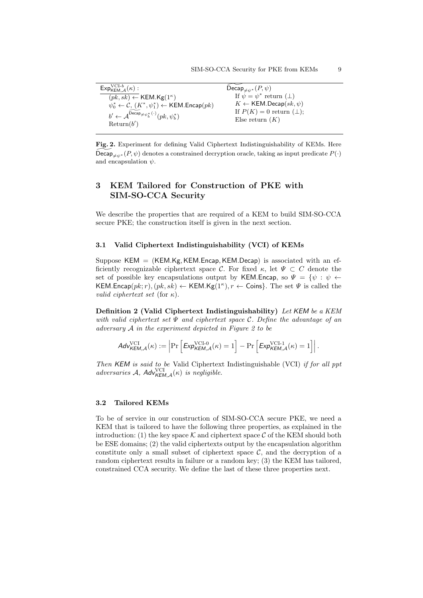| $Exp_{\mathsf{KEM}.\mathcal{A}}^{\mathsf{VCI-}b}(\kappa):$                                    | Decap <sub><math>\neq \psi^*</math></sub> $(P, \psi)$ |
|-----------------------------------------------------------------------------------------------|-------------------------------------------------------|
| $(pk, sk) \leftarrow \text{KEM.Kg}(1^{\kappa})$                                               | If $\psi = \psi^*$ return $(\perp)$                   |
| $\psi_0^* \leftarrow \mathcal{C}, (K^*, \psi_1^*) \leftarrow \mathsf{KEM}.\mathsf{Encap}(pk)$ | $K \leftarrow$ KEM.Decap $(sk, \psi)$                 |
| $b' \leftarrow \mathcal{A}^{\mathsf{Decap}_{\neq \psi_b^*}(\cdot)}(pk, \psi_b^*)$             | If $P(K) = 0$ return ( $\perp$ );                     |
|                                                                                               | Else return $(K)$                                     |
| Return(b')                                                                                    |                                                       |

Fig. 2. Experiment for defining Valid Ciphertext Indistinguishability of KEMs. Here Decap  $\mathcal{L}_{\ell^*}(\mathcal{P}, \psi)$  denotes a constrained decryption oracle, taking as input predicate  $P(\cdot)$ and encapsulation  $\psi$ .

# 3 KEM Tailored for Construction of PKE with SIM-SO-CCA Security

We describe the properties that are required of a KEM to build SIM-SO-CCA secure PKE; the construction itself is given in the next section.

# 3.1 Valid Ciphertext Indistinguishability (VCI) of KEMs

Suppose  $KEM = (KEM.Kg, KEM.Encap, KEM.Decap)$  is associated with an efficiently recognizable ciphertext space C. For fixed  $\kappa$ , let  $\Psi \subset C$  denote the set of possible key encapsulations output by KEM.Encap, so  $\Psi = \{\psi : \psi \leftarrow$ KEM.Encap $(pk; r)$ ,  $(pk, sk) \leftarrow$  KEM.Kg(1<sup> $\kappa$ </sup>),  $r \leftarrow$  Coins}. The set  $\Psi$  is called the valid ciphertext set (for  $\kappa$ ).

Definition 2 (Valid Ciphertext Indistinguishability) Let KEM be a KEM with valid ciphertext set  $\Psi$  and ciphertext space C. Define the advantage of an adversary  $A$  in the experiment depicted in Figure 2 to be

$$
\mathit{Adv_{KEM,\mathcal{A}}^{\mathrm{VCI}}(\kappa)} := \left| \Pr\left[ \mathit{Exp_{KEM,\mathcal{A}}^{\mathrm{VCI-0}}(\kappa) = 1} \right] - \Pr\left[ \mathit{Exp_{KEM,\mathcal{A}}^{\mathrm{VCI-1}}(\kappa) = 1} \right] \right|.
$$

Then KEM is said to be Valid Ciphertext Indistinguishable (VCI) if for all ppt adversaries A,  $Adv_{KEM,A}^{VCI}(\kappa)$  is negligible.

# 3.2 Tailored KEMs

To be of service in our construction of SIM-SO-CCA secure PKE, we need a KEM that is tailored to have the following three properties, as explained in the introduction: (1) the key space K and ciphertext space C of the KEM should both be ESE domains; (2) the valid ciphertexts output by the encapsulation algorithm constitute only a small subset of ciphertext space  $\mathcal{C}$ , and the decryption of a random ciphertext results in failure or a random key; (3) the KEM has tailored, constrained CCA security. We define the last of these three properties next.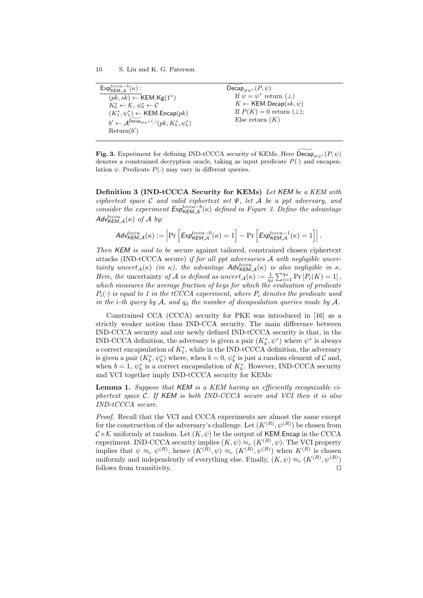| $\mathsf{Exp}_{\mathsf{KEM},\mathcal{A}}^{tccca-b}(\kappa):$<br>Decap <sub><math>\neq \psi^*</math></sub> $(P, \psi)$                                                                                                                                                                        |                                                                                                                                       |
|----------------------------------------------------------------------------------------------------------------------------------------------------------------------------------------------------------------------------------------------------------------------------------------------|---------------------------------------------------------------------------------------------------------------------------------------|
| $(pk, sk) \leftarrow \text{KEM.Kg}(1^{\kappa})$<br>$K_0^* \leftarrow \mathcal{K}, \psi_0^* \leftarrow \mathcal{C}$<br>$(K_1^*, \psi_1^*) \leftarrow \mathsf{KEM}.\mathsf{Encap}(pk)$<br>$b' \leftarrow \mathcal{A}^{\mathsf{Decap}} \neq \psi^{*}(\cdot)(pk, K_b^*, \psi_b^*)$<br>Return(b') | If $\psi = \psi^*$ return $(\perp)$<br>$K \leftarrow$ KEM.Decap $(sk, \psi)$<br>If $P(K) = 0$ return $(\perp)$ ;<br>Else return $(K)$ |

Fig. 3. Experiment for defining IND-tCCCA security of KEMs. Here  $\tilde{Decap}_{\neq \psi^*} (P, \psi)$ denotes a constrained decryption oracle, taking as input predicate  $P(\cdot)$  and encapsulation  $\psi$ . Predicate  $P(\cdot)$  may vary in different queries.

Definition 3 (IND-tCCCA Security for KEMs) Let KEM be a KEM with ciphertext space C and valid ciphertext set  $\Psi$ , let A be a ppt adversary, and consider the experiment  $Exp_{KEM,A}^{tccca-b}(\kappa)$  defined in Figure 3. Define the advantage  $\mathcal{A}$ d $\mathcal{V}^{tccca}_{\mathcal{K}EM,\mathcal{A}}(\kappa)$  of  $\mathcal A$  by:

$$
\mathit{Adv}_{\mathit{KEM},\mathcal{A}}^{\mathit{tccca}}(\kappa) := \left| \Pr\left[ \mathit{Exp}_{\mathit{KEM},\mathcal{A}}^{\mathit{tccca}-0}(\kappa) = 1 \right] - \Pr\left[ \mathit{Exp}_{\mathit{KEM},\mathcal{A}}^{\mathit{tccca}-1}(\kappa) = 1 \right] \right|.
$$

Then KEM is said to be secure against tailored, constrained chosen ciphertext attacks (IND-tCCCA secure) if for all ppt adversaries  $A$  with negligible uncertainty uncert<sub>A</sub>( $\kappa$ ) (in  $\kappa$ ), the advantage Adv<sub>KEM,A</sub>( $\kappa$ ) is also negligible in  $\kappa$ . Here, the uncertainty of A is defined as  $uncert_{\mathcal{A}}(\kappa) := \frac{1}{q_d} \sum_{i=1}^{q_d} \Pr[P_i(K) = 1]$ , which measures the average fraction of keys for which the evaluation of predicate  $P_i(\cdot)$  is equal to 1 in the tCCCA experiment, where  $P_i$  denotes the predicate used in the i-th query by  $\mathcal{A}$ , and  $q_d$  the number of decapsulation queries made by  $\mathcal{A}$ .

Constrained CCA (CCCA) security for PKE was introduced in [16] as a strictly weaker notion than IND-CCA security. The main difference between IND-CCCA security and our newly defined IND-tCCCA security is that, in the IND-CCCA definition, the adversary is given a pair  $(K_b^*, \psi^*)$  where  $\psi^*$  is always a correct encapsulation of  $K_1^*$ , while in the IND-tCCCA definition, the adversary is given a pair  $(K_b^*, \psi_b^*)$  where, when  $b = 0$ ,  $\psi_b^*$  is just a random element of  $\mathcal C$  and, when  $b = 1$ ,  $\psi_b^*$  is a correct encapsulation of  $K_b^*$ . However, IND-CCCA security and VCI together imply IND-tCCCA security for KEMs:

Lemma 1. Suppose that KEM is a KEM having an efficiently recognizable ciphertext space C. If KEM is both IND-CCCA secure and VCI then it is also IND-tCCCA secure.

Proof. Recall that the VCI and CCCA experiments are almost the same except for the construction of the adversary's challenge. Let  $(K^{(R)}, \psi^{(R)})$  be chosen from  $\mathcal{C}\times\mathcal{K}$  uniformly at random. Let  $(K,\psi)$  be the output of KEM. Encap in the CCCA experiment. IND-CCCA security implies  $(K, \psi) \approx_c (K^{(R)}, \psi)$ . The VCI property implies that  $\psi \approx_c \psi^{(R)}$ , hence  $(K^{(R)}, \psi) \approx_c (K^{(R)}, \psi^{(R)})$  when  $K^{(R)}$  is chosen uniformly and independently of everything else. Finally,  $(K, \psi) \approx_c (K^{(R)}, \psi^{(R)})$ follows from transitivity.  $\Box$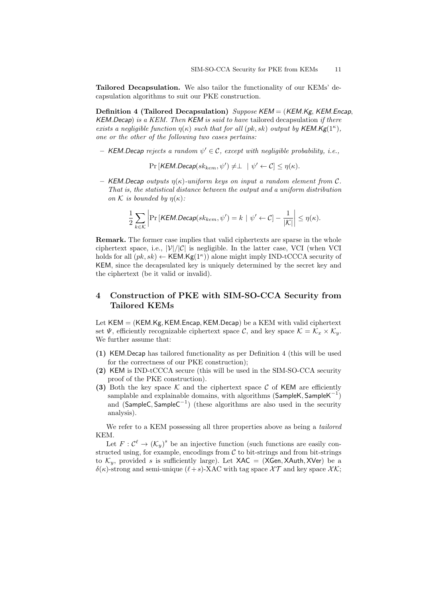Tailored Decapsulation. We also tailor the functionality of our KEMs' decapsulation algorithms to suit our PKE construction.

Definition 4 (Tailored Decapsulation) Suppose  $KEM = (KEM.Kg, KEM.$  Encap,  $KEM.$  Decap) is a  $KEM.$  Then  $KEM$  is said to have tailored decapsulation if there exists a negligible function  $\eta(\kappa)$  such that for all  $(pk, sk)$  output by KEM.Kg(1<sup> $\kappa$ </sup>), one or the other of the following two cases pertains:

- KEM. Decap rejects a random  $\psi' \in \mathcal{C}$ , except with negligible probability, i.e.,

 $Pr[KEM.Decap(sk_{kem}, \psi') \neq \perp + \psi' \leftarrow \mathcal{C}] \leq \eta(\kappa).$ 

– KEM. Decap outputs  $\eta(\kappa)$ -uniform keys on input a random element from C. That is, the statistical distance between the output and a uniform distribution on K is bounded by  $\eta(\kappa)$ :

$$
\frac{1}{2}\sum_{k\in\mathcal{K}}\bigg|\Pr\big[\textit{KEM.Decap}(sk_{kem}, \psi') = k \mid \psi' \leftarrow \mathcal{C}\big] - \frac{1}{|\mathcal{K}|}\bigg| \leq \eta(\kappa).
$$

Remark. The former case implies that valid ciphertexts are sparse in the whole ciphertext space, i.e.,  $|\mathcal{V}|/|\mathcal{C}|$  is negligible. In the latter case, VCI (when VCI holds for all  $(pk, sk) \leftarrow \text{KEM.Kg}(1^{\kappa})$  alone might imply IND-tCCCA security of KEM, since the decapsulated key is uniquely determined by the secret key and the ciphertext (be it valid or invalid).

# 4 Construction of PKE with SIM-SO-CCA Security from Tailored KEMs

Let  $KEM = (KEM.Kg, KEM.Encap, KEM.Decap)$  be a KEM with valid ciphertext set  $\Psi$ , efficiently recognizable ciphertext space  $\mathcal{C}$ , and key space  $\mathcal{K} = \mathcal{K}_x \times \mathcal{K}_y$ . We further assume that:

- (1) KEM.Decap has tailored functionality as per Definition 4 (this will be used for the correctness of our PKE construction);
- (2) KEM is IND-tCCCA secure (this will be used in the SIM-SO-CCA security proof of the PKE construction).
- (3) Both the key space  $\mathcal K$  and the ciphertext space  $\mathcal C$  of KEM are efficiently samplable and explainable domains, with algorithms (SampleK, SampleK<sup>-1</sup>) and  $(SampleC, SampleC^{-1})$  (these algorithms are also used in the security analysis).

We refer to a KEM possessing all three properties above as being a *tailored* KEM.

Let  $F: \mathcal{C}^{\ell} \to (\mathcal{K}_y)^s$  be an injective function (such functions are easily constructed using, for example, encodings from  $C$  to bit-strings and from bit-strings to  $\mathcal{K}_y$ , provided s is sufficiently large). Let  $XAC = (XGen, XAuthor, XVer)$  be a δ(κ)-strong and semi-unique ( $\ell+s$ )-XAC with tag space  $\chi$ T and key space  $\chi$ K;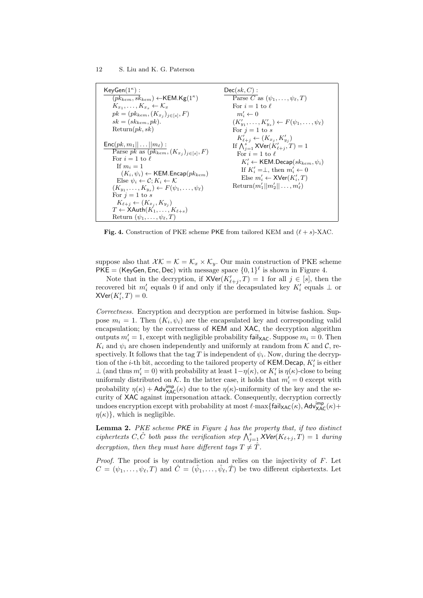| $KeyGen(1^{\kappa})$ :<br>$(pk_{kem}, sk_{kem}) \leftarrow$ KEM.Kg $(1^{\kappa})$                                                                                                                                                                                                                                                             | $Dec(sk, C)$ :<br>Parse C as $(\psi_1,\ldots,\psi_\ell,T)$                                                                                                                                                                                                                                                                               |
|-----------------------------------------------------------------------------------------------------------------------------------------------------------------------------------------------------------------------------------------------------------------------------------------------------------------------------------------------|------------------------------------------------------------------------------------------------------------------------------------------------------------------------------------------------------------------------------------------------------------------------------------------------------------------------------------------|
| $K_{x_1},\ldots,K_{x_s}\leftarrow\mathcal{K}_x$<br>$pk = (pk_{kem}, (K_{x_i})_{i \in [s]}, F)$<br>$sk = (sk_{kem}, pk).$<br>Return(pk, sk)                                                                                                                                                                                                    | For $i=1$ to $\ell$<br>$m'_i \leftarrow 0$<br>$(K'_{u_1},\ldots,K'_{u_s})\leftarrow F(\psi_1,\ldots,\psi_\ell)$                                                                                                                                                                                                                          |
| $\mathsf{Enc}(pk, m_1   \dots    m_\ell):$<br>Parse pk as $(pk_{kem}, (K_{x_i})_{i \in [s]}, F)$<br>For $i=1$ to $\ell$<br>If $m_i=1$<br>$(K_i, \psi_i) \leftarrow \text{KEM}$ . Encap $(pk_{kem})$<br>Else $\psi_i \leftarrow \mathcal{C}$ : $K_i \leftarrow \mathcal{K}$<br>$(K_{y_1},\ldots,K_{y_s})\leftarrow F(\psi_1,\ldots,\psi_\ell)$ | For $j=1$ to s<br>$K'_{\ell+i} \leftarrow (K_{x_i}, K'_{y_i})$<br>If $\bigwedge_{i=1}^s$ XVer $(K'_{\ell+i},T)=1$<br>For $i=1$ to $\ell$<br>$K'_{i} \leftarrow$ KEM.Decap $(sk_{kem}, \psi_i)$<br>If $K'_i = \perp$ , then $m'_i \leftarrow 0$<br>Else $m'_i \leftarrow \mathsf{XVer}(K'_i, T)$<br>Return $(m'_1  m'_2  \ldots,m'_\ell)$ |
| For $j=1$ to s<br>$K_{\ell+j} \leftarrow (K_{x_i}, K_{y_i})$<br>$T \leftarrow \mathsf{XAuthor}(K_1, \ldots, K_{\ell+s})$<br>Return $(\psi_1,\ldots,\psi_\ell,T)$                                                                                                                                                                              |                                                                                                                                                                                                                                                                                                                                          |

Fig. 4. Construction of PKE scheme PKE from tailored KEM and  $(\ell + s)$ -XAC.

suppose also that  $XK = \mathcal{K} = \mathcal{K}_x \times \mathcal{K}_y$ . Our main construction of PKE scheme PKE = (KeyGen, Enc, Dec) with message space  $\{0,1\}^{\ell}$  is shown in Figure 4.

Note that in the decryption, if  $XVer(K'_{\ell+j}, T) = 1$  for all  $j \in [s]$ , then the recovered bit  $m'_i$  equals 0 if and only if the decapsulated key  $K'_i$  equals  $\perp$  or  $X\text{Ver}(K_i',T)=0.$ 

Correctness. Encryption and decryption are performed in bitwise fashion. Suppose  $m_i = 1$ . Then  $(K_i, \psi_i)$  are the encapsulated key and corresponding valid encapsulation; by the correctness of KEM and XAC, the decryption algorithm outputs  $m'_i = 1$ , except with negligible probability fail<sub>XAC</sub>. Suppose  $m_i = 0$ . Then  $K_i$  and  $\psi_i$  are chosen independently and uniformly at random from K and C, respectively. It follows that the tag T is independent of  $\psi_i$ . Now, during the decryption of the *i*-th bit, according to the tailored property of KEM.Decap,  $K_i'$  is either  $\perp$  (and thus  $m_i' = 0$ ) with probability at least  $1-\eta(\kappa)$ , or  $K_i'$  is  $\eta(\kappa)$ -close to being uniformly distributed on  $K$ . In the latter case, it holds that  $m'_i = 0$  except with probability  $\eta(\kappa) + \mathsf{Adv}_{\mathsf{XAC}}^{\mathsf{imp}}(\kappa)$  due to the  $\eta(\kappa)$ -uniformity of the key and the security of XAC against impersonation attack. Consequently, decryption correctly undoes encryption except with probability at most  $\ell$ ·max $\{\textsf{fail}_{\textsf{XAC}}(\kappa), \textsf{Adv}_{\textsf{XAC}}^{\textsf{imp}}(\kappa) + \}$  $\eta(\kappa)$ , which is negligible.

**Lemma 2.** PKE scheme  $PKE$  in Figure 4 has the property that, if two distinct ciphertexts C,  $\hat{C}$  both pass the verification step  $\bigwedge_{j=1}^{s} X$ Ver $(K_{\ell+j}, T) = 1$  during decryption, then they must have different tags  $T \neq \hat{T}$ .

Proof. The proof is by contradiction and relies on the injectivity of F. Let  $C = (\psi_1, \ldots, \psi_\ell, T)$  and  $\hat{C} = (\hat{\psi}_1, \ldots, \hat{\psi}_\ell, \hat{T})$  be two different ciphertexts. Let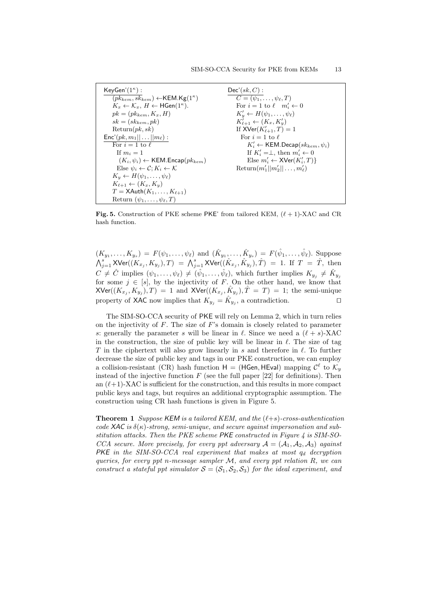| $KeyGen'(1^{\kappa})$ :                                                 | $Dec'(sk, C)$ :                                                 |
|-------------------------------------------------------------------------|-----------------------------------------------------------------|
| $(pk_{kem}, sk_{kem}) \leftarrow$ KEM.Kg $(1^{\kappa})$                 | $C=(\psi_1,\ldots,\psi_\ell,T)$                                 |
| $K_x \leftarrow \mathcal{K}_x, H \leftarrow \textsf{HGen}(1^{\kappa}).$ | For $i=1$ to $\ell$ $m'_i \leftarrow 0$                         |
| $pk = (pk_{kem}, K_x, H)$                                               | $K'_v \leftarrow H(\psi_1, \ldots, \psi_\ell)$                  |
| $sk = (sk_{kem}, pk)$                                                   | $K'_{\ell+1} \leftarrow (K_x, K'_y)$                            |
| Return(pk, sk)                                                          | If $XVer(K'_{\ell+1}, T) = 1$                                   |
| $\textsf{Enc}'(pk, m_1    \dots    m_\ell)$ :                           | For $i=1$ to $\ell$                                             |
| For $i=1$ to $\ell$                                                     | $K'_i \leftarrow \mathsf{KEM}.\mathsf{Decap}(sk_{kem}, \psi_i)$ |
| If $m_i=1$                                                              | If $K'_i = \perp$ , then $m'_i \leftarrow 0$                    |
| $(K_i, \psi_i) \leftarrow \text{KEM}$ . Encap $(\mathit{pk}_{kem})$     | Else $m'_i \leftarrow \mathsf{XVer}(K'_i, T)$                   |
| Else $\psi_i \leftarrow \mathcal{C}$ ; $K_i \leftarrow \mathcal{K}$     | Return $(m'_1  m'_2  \ldots,m'_\ell)$                           |
| $K_u \leftarrow H(\psi_1, \ldots, \psi_\ell)$                           |                                                                 |
| $K_{\ell+1} \leftarrow (K_x, K_y)$                                      |                                                                 |
| $T = \mathsf{XAuth}(K_1, \ldots, K_{\ell+1})$                           |                                                                 |
| Return $(\psi_1,\ldots,\psi_\ell,T)$                                    |                                                                 |

Fig. 5. Construction of PKE scheme PKE' from tailored KEM,  $(\ell + 1)$ -XAC and CR hash function.

 $(K_{y_1},..., K_{y_s}) = F(\psi_1,..., \psi_\ell)$  and  $(\hat{K}_{y_1},..., \hat{K}_{y_s}) = F(\hat{\psi}_1,..., \hat{\psi}_\ell)$ . Suppose  $\bigwedge_{j=1}^s {\sf XVer}((K_{x_j},K_{y_j}),T) \;=\; \bigwedge_{j=1}^s {\sf XVer}((\hat{K}_{x_j},\hat{K}_{y_j}),\hat{T}) \;=\; 1. \;\; {\rm If} \;\; T \;=\; \hat{T},\; {\rm then}$  $C \neq \hat{C}$  implies  $(\psi_1,\ldots,\psi_\ell) \neq (\hat{\psi}_1,\ldots,\hat{\psi}_\ell)$ , which further implies  $K_{y_j} \neq \hat{K}_{y_j}$ for some  $j \in [s]$ , by the injectivity of F. On the other hand, we know that  ${\sf XVer}((K_{x_j}, K_{y_j}), T) = 1$  and  ${\sf XVer}((K_{x_j}, \hat{K}_{y_j}), \hat{T} = T) = 1$ ; the semi-unique property of XAC now implies that  $K_{y_j} = \hat{K}_{y_j}$ , a contradiction.

The SIM-SO-CCA security of PKE will rely on Lemma 2, which in turn relies on the injectivity of  $F$ . The size of  $F$ 's domain is closely related to parameter s: generally the parameter s will be linear in  $\ell$ . Since we need a  $(\ell + s)$ -XAC in the construction, the size of public key will be linear in  $\ell$ . The size of tag T in the ciphertext will also grow linearly in s and therefore in  $\ell$ . To further decrease the size of public key and tags in our PKE construction, we can employ a collision-resistant (CR) hash function  $H = (HGen, HEval)$  mapping  $C^{\ell}$  to  $\mathcal{K}_y$ instead of the injective function  $F$  (see the full paper [22] for definitions). Then an  $(\ell+1)$ -XAC is sufficient for the construction, and this results in more compact public keys and tags, but requires an additional cryptographic assumption. The construction using CR hash functions is given in Figure 5.

**Theorem 1** Suppose KEM is a tailored KEM, and the  $(\ell+s)$ -cross-authentication code XAC is  $\delta(\kappa)$ -strong, semi-unique, and secure against impersonation and substitution attacks. Then the PKE scheme  $PKE$  constructed in Figure 4 is SIM-SO-CCA secure. More precisely, for every ppt adversary  $A = (A_1, A_2, A_3)$  against PKE in the SIM-SO-CCA real experiment that makes at most  $q_d$  decryption queries, for every ppt n-message sampler  $M$ , and every ppt relation  $R$ , we can construct a stateful ppt simulator  $S = (S_1, S_2, S_3)$  for the ideal experiment, and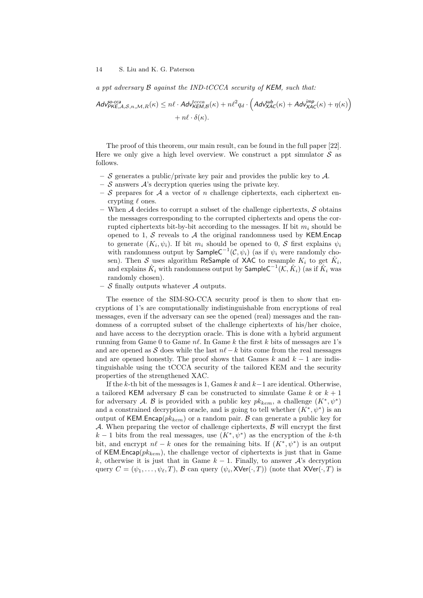a ppt adversary  $\beta$  against the IND-tCCCA security of KEM, such that:

$$
Adv_{PKE,A,S,n,M,R}^{so\text{-}cca}(k) \leq n\ell \cdot Adv_{KEM,B}^{tccca}(k) + n\ell^2 q_d \cdot \left( Adv_{XAC}^{sub}(k) + Adv_{XAC}^{imp}(k) + \eta(k) \right) + n\ell \cdot \delta(k).
$$

The proof of this theorem, our main result, can be found in the full paper [22]. Here we only give a high level overview. We construct a ppt simulator  $S$  as follows.

- S generates a public/private key pair and provides the public key to  $\mathcal{A}$ .
- $\mathcal{S}$  answers  $\mathcal{A}$ 's decryption queries using the private key.
- S prepares for A a vector of n challenge ciphertexts, each ciphertext encrypting  $\ell$  ones.
- When  $A$  decides to corrupt a subset of the challenge ciphertexts,  $S$  obtains the messages corresponding to the corrupted ciphertexts and opens the corrupted ciphertexts bit-by-bit according to the messages. If bit  $m_i$  should be opened to 1, S reveals to A the original randomness used by KEM. Encap to generate  $(K_i, \psi_i)$ . If bit  $m_i$  should be opened to 0, S first explains  $\psi_i$ with randomness output by  $\mathsf{SampleC}^{-1}(\mathcal{C}, \psi_i)$  (as if  $\psi_i$  were randomly chosen). Then S uses algorithm ReSample of XAC to resample  $K_i$  to get  $\hat{K}_i$ , and explains  $\hat{K}_i$  with randomness output by  $\mathsf{SampleC}^{-1}(\mathcal{K}, \hat{K}_i)$  (as if  $\hat{K}_i$  was randomly chosen).
- $S$  finally outputs whatever  $A$  outputs.

The essence of the SIM-SO-CCA security proof is then to show that encryptions of 1's are computationally indistinguishable from encryptions of real messages, even if the adversary can see the opened (real) messages and the randomness of a corrupted subset of the challenge ciphertexts of his/her choice, and have access to the decryption oracle. This is done with a hybrid argument running from Game 0 to Game  $n\ell$ . In Game k the first k bits of messages are 1's and are opened as S does while the last  $n\ell - k$  bits come from the real messages and are opened honestly. The proof shows that Games  $k$  and  $k - 1$  are indistinguishable using the tCCCA security of the tailored KEM and the security properties of the strengthened XAC.

If the k-th bit of the messages is 1, Games  $k$  and  $k-1$  are identical. Otherwise, a tailored KEM adversary  $\beta$  can be constructed to simulate Game k or  $k + 1$ for adversary A. B is provided with a public key  $pk_{kem}$ , a challenge  $(K^*, \psi^*)$ and a constrained decryption oracle, and is going to tell whether  $(K^*, \psi^*)$  is an output of KEM. Encap $(pk_{kem})$  or a random pair. B can generate a public key for A. When preparing the vector of challenge ciphertexts,  $\beta$  will encrypt the first  $k-1$  bits from the real messages, use  $(K^*,\psi^*)$  as the encryption of the k-th bit, and encrypt  $n\ell - k$  ones for the remaining bits. If  $(K^*, \psi^*)$  is an output of KEM.Encap( $pk_{kem}$ ), the challenge vector of ciphertexts is just that in Game k, otherwise it is just that in Game  $k-1$ . Finally, to answer  $\mathcal{A}$ 's decryption query  $C=(\psi_1,\ldots,\psi_\ell,T),$   ${\cal B}$  can query  $(\psi_i,{\sf XVer}(\cdot,T))$  (note that  ${\sf XVer}(\cdot,T)$  is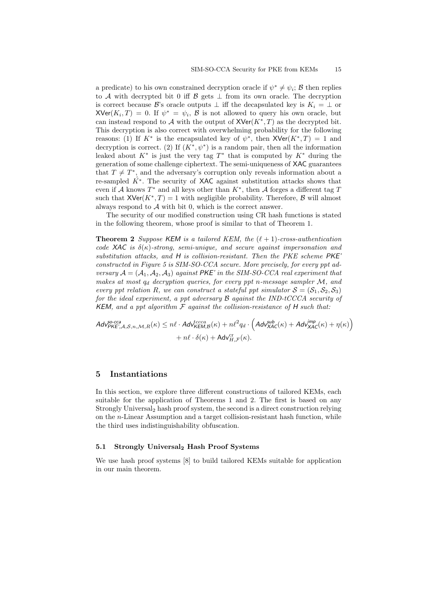a predicate) to his own constrained decryption oracle if  $\psi^* \neq \psi_i$ ;  $\beta$  then replies to A with decrypted bit 0 iff B gets  $\perp$  from its own oracle. The decryption is correct because B's oracle outputs  $\perp$  iff the decapsulated key is  $K_i = \perp$  or  $XVer(K_i, T) = 0$ . If  $\psi^* = \psi_i$ ,  $\beta$  is not allowed to query his own oracle, but can instead respond to A with the output of  $XVer(K^*,T)$  as the decrypted bit. This decryption is also correct with overwhelming probability for the following reasons: (1) If  $K^*$  is the encapsulated key of  $\psi^*$ , then  $XVer(K^*,T) = 1$  and decryption is correct. (2) If  $(K^*, \psi^*)$  is a random pair, then all the information leaked about  $K^*$  is just the very tag  $T^*$  that is computed by  $K^*$  during the generation of some challenge ciphertext. The semi-uniqueness of XAC guarantees that  $T \neq T^*$ , and the adversary's corruption only reveals information about a re-sampled  $K^*$ . The security of XAC against substitution attacks shows that even if A knows  $T^*$  and all keys other than  $K^*$ , then A forges a different tag T such that  $XVer(K^*, T) = 1$  with negligible probability. Therefore,  $\beta$  will almost always respond to  $A$  with bit 0, which is the correct answer.

The security of our modified construction using CR hash functions is stated in the following theorem, whose proof is similar to that of Theorem 1.

**Theorem 2** Suppose KEM is a tailored KEM, the  $(\ell + 1)$ -cross-authentication code XAC is  $\delta(\kappa)$ -strong, semi-unique, and secure against impersonation and substitution attacks, and H is collision-resistant. Then the PKE scheme PKE' constructed in Figure 5 is SIM-SO-CCA secure. More precisely, for every ppt adversary  $A = (A_1, A_2, A_3)$  against PKE' in the SIM-SO-CCA real experiment that makes at most  $q_d$  decryption queries, for every ppt n-message sampler  $\mathcal{M}$ , and every ppt relation R, we can construct a stateful ppt simulator  $S = (S_1, S_2, S_3)$ for the ideal experiment, a ppt adversary  $\beta$  against the IND-tCCCA security of KEM, and a ppt algorithm  $F$  against the collision-resistance of H such that:

 $\mathcal{A}$ dv $_{\mathsf{PKE'},\mathcal{A},\mathcal{S},n,\mathcal{M},R}^{\mathcal{S}\text{o-cca}}(\kappa) \leq n\ell \cdot \mathcal{A}$ dv $_{\mathcal{KEM},\mathcal{B}}^{\mathcal{t}cccc}(\kappa) + n\ell^2 q_d \cdot \left(\mathcal{A} d\mathsf{v}_{\mathsf{XAC}}^{\mathsf{sub}}(\kappa) + \mathcal{A} d\mathsf{v}_{\mathsf{XAC}}^{\mathsf{imp}}(\kappa) + \eta(\kappa)\right)$  $+ n\ell \cdot \delta(\kappa) + \mathsf{Adv}_{H,\mathcal{F}}^{\text{cr}}(\kappa).$ 

# 5 Instantiations

In this section, we explore three different constructions of tailored KEMs, each suitable for the application of Theorems 1 and 2. The first is based on any Strongly Universal<sub>2</sub> hash proof system, the second is a direct construction relying on the n-Linear Assumption and a target collision-resistant hash function, while the third uses indistinguishability obfuscation.

# 5.1 Strongly Universal<sub>2</sub> Hash Proof Systems

We use hash proof systems [8] to build tailored KEMs suitable for application in our main theorem.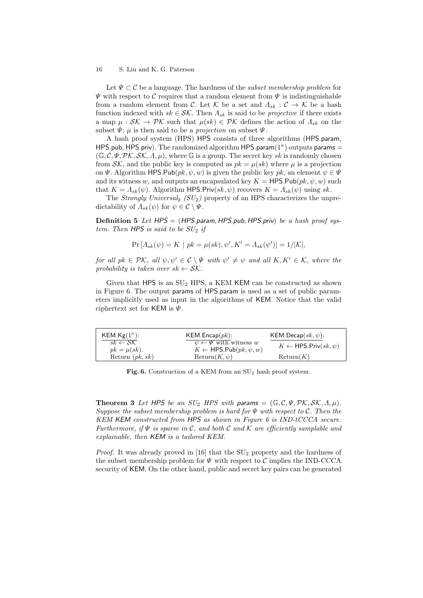Let  $\Psi \subset \mathcal{C}$  be a language. The hardness of the *subset membership problem* for  $\Psi$  with respect to C requires that a random element from  $\Psi$  is indistinguishable from a random element from C. Let K be a set and  $\Lambda_{sk} : \mathcal{C} \to \mathcal{K}$  be a hash function indexed with  $sk \in \mathcal{SK}$ . Then  $\Lambda_{sk}$  is said to be *projective* if there exists a map  $\mu : \mathcal{SK} \to \mathcal{PK}$  such that  $\mu(sk) \in \mathcal{PK}$  defines the action of  $\Lambda_{sk}$  on the subset  $\Psi$ ;  $\mu$  is then said to be a *projection* on subset  $\Psi$ .

A hash proof system (HPS) HPS consists of three algorithms (HPS.param, HPS.pub, HPS.priv). The randomized algorithm HPS.param $(1^{\kappa})$  outputs params =  $(\mathbb{G}, \mathcal{C}, \Psi, \mathcal{PK}, \mathcal{SK}, \Lambda, \mu)$ , where  $\mathbb{G}$  is a group. The secret key sk is randomly chosen from  $\mathcal{SK}$ , and the public key is computed as  $pk = \mu(sk)$  where  $\mu$  is a projection on  $\Psi$ . Algorithm HPS.Pub( $pk, \psi, w$ ) is given the public key pk, an element  $\psi \in \Psi$ and its witness w, and outputs an encapsulated key  $K = \textsf{HPS.Pub}(pk, \psi, w)$  such that  $K = \Lambda_{sk}(\psi)$ . Algorithm HPS.Priv $(sk, \psi)$  recovers  $K = \Lambda_{sk}(\psi)$  using sk.

The Strongly Universal<sub>2</sub> ( $SU<sub>2</sub>$ ) property of an HPS characterizes the unpredictability of  $\Lambda_{sk}(\psi)$  for  $\psi \in \mathcal{C} \setminus \Psi$ .

**Definition 5** Let  $HPS = (HPS.param, HPS.pub, HPS.priv)$  be a hash proof system. Then HPS is said to be  $SU_2$  if

$$
Pr[A_{sk}(\psi) = K | pk = \mu(sk), \psi', K' = A_{sk}(\psi')] = 1/|\mathcal{K}|,
$$

for all  $pk \in \mathcal{PK}$ , all  $\psi, \psi' \in \mathcal{C} \setminus \Psi$  with  $\psi' \neq \psi$  and all  $K, K' \in \mathcal{K}$ , where the probability is taken over  $sk \leftarrow \mathcal{SK}$ .

Given that HPS is an  $SU_2$  HPS, a KEM KEM can be constructed as shown in Figure 6. The output params of HPS.param is used as a set of public parameters implicitly used as input in the algorithms of KEM. Notice that the valid ciphertext set for KEM is  $\Psi$ .

| $KEM.Kg(1^{\kappa})$ :                 | KEM.Encap(pk):                                                                  | KEM.Decap $(sk, \psi)$ :             |
|----------------------------------------|---------------------------------------------------------------------------------|--------------------------------------|
| $sk \leftarrow SK$<br>$pk = \mu(sk)$ . | $\psi \leftarrow \Psi$ with witness w<br>$K \leftarrow$ HPS.Pub $(pk, \psi, w)$ | $K \leftarrow$ HPS.Priv $(sk, \psi)$ |
| Return $(pk, sk)$                      | $Return(K, \psi)$                                                               | Return(K)                            |

Fig. 6. Construction of a KEM from an  $SU_2$  hash proof system.

**Theorem 3** Let HPS be an  $SU_2$  HPS with params =  $(\mathbb{G}, \mathcal{C}, \Psi, \mathcal{PK}, \mathcal{SK}, \Lambda, \mu)$ . Suppose the subset membership problem is hard for  $\Psi$  with respect to  $\mathcal{C}$ . Then the KEM KEM constructed from HPS as shown in Figure 6 is IND-tCCCA secure. Furthermore, if  $\Psi$  is sparse in C, and both C and K are efficiently samplable and explainable, then KEM is a tailored KEM.

*Proof.* It was already proved in [16] that the  $SU<sub>2</sub>$  property and the hardness of the subset membership problem for  $\Psi$  with respect to  $\mathcal C$  implies the IND-CCCA security of KEM. On the other hand, public and secret key pairs can be generated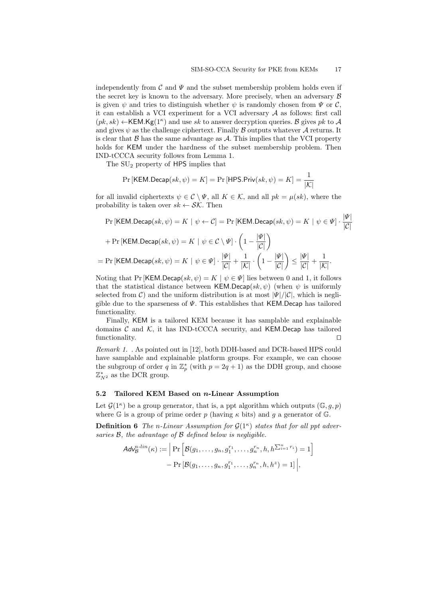independently from  $\mathcal C$  and  $\Psi$  and the subset membership problem holds even if the secret key is known to the adversary. More precisely, when an adversary  $\beta$ is given  $\psi$  and tries to distinguish whether  $\psi$  is randomly chosen from  $\Psi$  or  $\mathcal{C}$ , it can establish a VCI experiment for a VCI adversary  $A$  as follows: first call  $(pk, sk) \leftarrow$ KEM.Kg(1<sup> $\kappa$ </sup>) and use sk to answer decryption queries. B gives pk to A and gives  $\psi$  as the challenge ciphertext. Finally  $\beta$  outputs whatever  $\mathcal A$  returns. It is clear that  $\beta$  has the same advantage as  $\mathcal{A}$ . This implies that the VCI property holds for KEM under the hardness of the subset membership problem. Then IND-tCCCA security follows from Lemma 1.

The SU<sup>2</sup> property of HPS implies that

$$
\Pr\left[\mathsf{KEM}.\mathsf{Decap}(sk,\psi)=K\right]=\Pr\left[\mathsf{HPS}.\mathsf{Priv}(sk,\psi)=K\right]=\frac{1}{|\mathcal{K}|}
$$

for all invalid ciphertexts  $\psi \in \mathcal{C} \setminus \Psi$ , all  $K \in \mathcal{K}$ , and all  $pk = \mu(sk)$ , where the probability is taken over  $sk \leftarrow \mathcal{SK}$ . Then

$$
\Pr\left[\mathsf{KEM}.\mathsf{Decap}(sk,\psi) = K \mid \psi \leftarrow C\right] = \Pr\left[\mathsf{KEM}.\mathsf{Decap}(sk,\psi) = K \mid \psi \in \Psi\right] \cdot \frac{|\Psi|}{|C|}
$$
\n
$$
+ \Pr\left[\mathsf{KEM}.\mathsf{Decap}(sk,\psi) = K \mid \psi \in C \setminus \Psi\right] \cdot \left(1 - \frac{|\Psi|}{|C|}\right)
$$
\n
$$
= \Pr\left[\mathsf{KEM}.\mathsf{Decap}(sk,\psi) = K \mid \psi \in \Psi\right] \cdot \frac{|\Psi|}{|C|} + \frac{1}{|K|} \cdot \left(1 - \frac{|\Psi|}{|C|}\right) \le \frac{|\Psi|}{|C|} + \frac{1}{|K|}.
$$

Noting that Pr [KEM.Decap(sk,  $\psi$ ) = K |  $\psi \in \Psi$ ] lies between 0 and 1, it follows that the statistical distance between KEM.Decap(sk,  $\psi$ ) (when  $\psi$  is uniformly selected from C) and the uniform distribution is at most  $|\Psi|/|\mathcal{C}|$ , which is negligible due to the sparseness of  $\Psi$ . This establishes that KEM.Decap has tailored functionality.

Finally, KEM is a tailored KEM because it has samplable and explainable domains  $C$  and  $K$ , it has IND-tCCCA security, and KEM.Decap has tailored functionality.  $\Box$ 

Remark 1. . As pointed out in [12], both DDH-based and DCR-based HPS could have samplable and explainable platform groups. For example, we can choose the subgroup of order q in  $\mathbb{Z}_p^*$  (with  $p = 2q + 1$ ) as the DDH group, and choose  $\mathbb{Z}_{N^2}^*$  as the DCR group.

#### 5.2 Tailored KEM Based on n-Linear Assumption

Let  $\mathcal{G}(1^{\kappa})$  be a group generator, that is, a ppt algorithm which outputs  $(\mathbb{G}, g, p)$ where G is a group of prime order p (having  $\kappa$  bits) and g a generator of G.

**Definition 6** The n-Linear Assumption for  $\mathcal{G}(1^{\kappa})$  states that for all ppt adversaries  $\mathcal{B}$ , the advantage of  $\mathcal{B}$  defined below is negligible.

$$
Ad\mathbf{v}_{\mathcal{B}}^{n-lin}(\kappa) := \left| \Pr \left[ \mathcal{B}(g_1, \dots, g_n, g_1^{r_1}, \dots, g_n^{r_n}, h, h^{\sum_{i=1}^n r_i}) = 1 \right] - \Pr \left[ \mathcal{B}(g_1, \dots, g_n, g_1^{r_1}, \dots, g_n^{r_n}, h, h^z) = 1 \right] \right|,
$$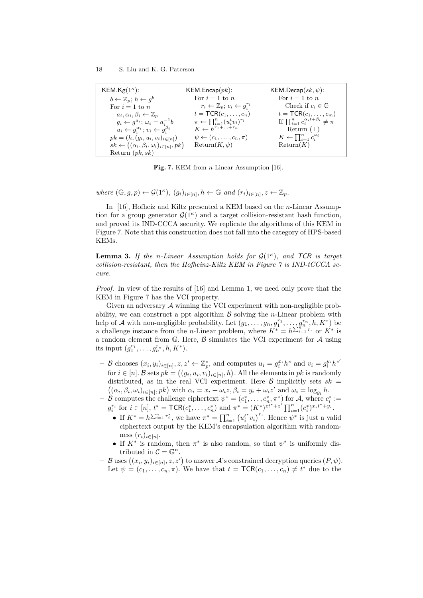| KEM.Kg $(1^{\kappa})$ :                                            | KEM.Encap(pk):<br>For $i=1$ to n                           | KEM.Decap $(sk, \psi)$ :<br>For $i=1$ to n             |
|--------------------------------------------------------------------|------------------------------------------------------------|--------------------------------------------------------|
| $b \leftarrow \mathbb{Z}_p$ ; $h \leftarrow g^b$                   | $r_i \leftarrow \mathbb{Z}_p$ ; $c_i \leftarrow q_i^{r_i}$ | Check if $c_i \in \mathbb{G}$                          |
| For $i=1$ to n<br>$a_i, \alpha_i, \beta_i \leftarrow \mathbb{Z}_n$ | $t = \mathsf{TCR}(c_1, \ldots, c_n)$                       | $t = \mathsf{TCR}(c_1, \ldots, c_m)$                   |
| $g_i \leftarrow g^{a_i}; \omega_i = a_i^{-1}b$                     | $\pi \leftarrow \prod_{i=1}^n (u_i^t v_i)^{r_i}$           | If $\prod_{i=1}^n c_i^{\alpha_i t + \beta_i} \neq \pi$ |
| $u_i \leftarrow q_i^{\alpha_i}; v_i \leftarrow q_i^{\beta_i}$      | $K \leftarrow \widetilde{h^{r_1+\ldots+r_n}}$              | Return $(\perp)$                                       |
| $pk = (h, (g_i, u_i, v_i)_{i \in [n]})$                            | $\psi \leftarrow (c_1, \ldots, c_n, \pi)$                  | $K \leftarrow \prod_{i=1}^n c_i^{\omega_i}$            |
| $sk \leftarrow ((\alpha_i, \beta_i, \omega_i)_{i \in [n]}, pk)$    | $Return(K, \psi)$                                          | Return(K)                                              |
| Return $(pk, sk)$                                                  |                                                            |                                                        |

Fig. 7. KEM from *n*-Linear Assumption [16].

where  $(\mathbb{G}, g, p) \leftarrow \mathcal{G}(1^{\kappa}), (g_i)_{i \in [n]}, h \leftarrow \mathbb{G} \text{ and } (r_i)_{i \in [n]}, z \leftarrow \mathbb{Z}_p.$ 

In [16], Hofheiz and Kiltz presented a KEM based on the n-Linear Assumption for a group generator  $\mathcal{G}(1^{\kappa})$  and a target collision-resistant hash function, and proved its IND-CCCA security. We replicate the algorithms of this KEM in Figure 7. Note that this construction does not fall into the category of HPS-based KEMs.

**Lemma 3.** If the n-Linear Assumption holds for  $\mathcal{G}(1^{\kappa})$ , and TCR is target collision-resistant, then the Hofheinz-Kiltz KEM in Figure  $\gamma$  is IND-tCCCA secure.

Proof. In view of the results of [16] and Lemma 1, we need only prove that the KEM in Figure 7 has the VCI property.

Given an adversary A winning the VCI experiment with non-negligible probability, we can construct a ppt algorithm  $\beta$  solving the *n*-Linear problem with help of A with non-negligible probability. Let  $(g_1, \ldots, g_n, g_1^{r_1}, \ldots, g_n^{r_n}, h, K^*)$  be a challenge instance from the *n*-Linear problem, where  $K^* = h^{\sum_{i=1}^{n} r_i}$  or  $K^*$  is a random element from  $\mathbb{G}$ . Here,  $\beta$  simulates the VCI experiment for  $\mathcal{A}$  using its input  $(g_1^{r_1},...,g_n^{r_n},h,K^*)$ .

- B chooses  $(x_i, y_i)_{i \in [n], z, z' \leftarrow \mathbb{Z}_p^*,$  and computes  $u_i = g_i^{x_i} h^z$  and  $v_i = g_i^{y_i} h^{z'}$ for  $i \in [n]$ . B sets  $pk = ((g_i, u_i, v_i)_{i \in [n]}, h)$ . All the elements in pk is randomly distributed, as in the real VCI experiment. Here  $\beta$  implicitly sets sk =  $((\alpha_i, \beta_i, \omega_i)_{i \in [n]}, pk)$  with  $\alpha_i = x_i + \omega_i z, \beta_i = y_i + \omega_i z'$  and  $\omega_i = \log_{g_i} h$ .
- $\mathcal{B}$  computes the challenge ciphertext  $\psi^* = (c_1^*, \ldots, c_n^*, \pi^*)$  for A, where  $c_i^* :=$  $g_i^{r_i}$  for  $i \in [n], t^* = \textsf{TCR}(c_1^*, \ldots, c_n^*)$  and  $\pi^* = (K^*)^{zt^*+z'} \prod_{i=1}^n (c_i^*)^{x_i t^* + y_i}.$ 
	- If  $K^* = h^{\sum_{i=1}^n r_i^*}$ , we have  $\pi^* = \prod_{i=1}^n (u_i^{t^*} v_i)^{r_i}$ . Hence  $\psi^*$  is just a valid ciphertext output by the KEM's encapsulation algorithm with randomness  $(r_i)_{i \in [n]}$ .
	- If  $K^*$  is random, then  $\pi^*$  is also random, so that  $\psi^*$  is uniformly distributed in  $\mathcal{C} = \mathbb{G}^n$ .
- $-$  B uses  $((x_i, y_i)_{i \in [n]}, z, z')$  to answer A's constrained decryption queries  $(P, \psi)$ . Let  $\psi = (c_1, \ldots, c_n, \pi)$ . We have that  $t = \textsf{TCR}(c_1, \ldots, c_n) \neq t^*$  due to the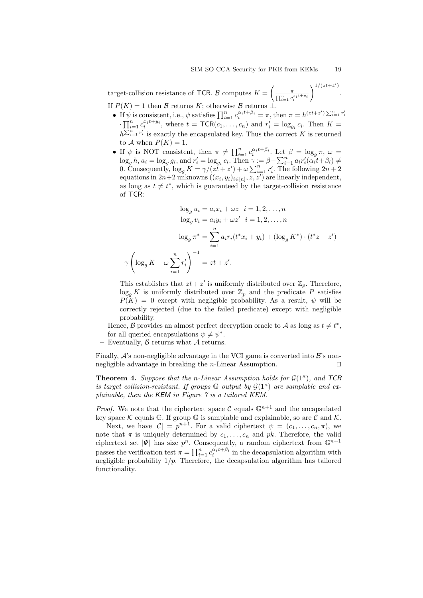.

target-collision resistance of TCR. B computes  $K = \left(\frac{\pi}{\sqrt{1-\lambda}}\right)$  $\prod_{i=1}^n c_i^{x_i t+y_i}$  $\bigwedge^{1/(zt+z')}$ If  $P(K) = 1$  then B returns K; otherwise B returns ⊥.

• If  $\psi$  is consistent, i.e.,  $\psi$  satisfies  $\prod_{i=1}^n c_i^{\alpha_i t + \beta_i} = \pi$ , then  $\pi = h^{(zt+z')} \sum_{i=1}^n r_i^t$ 

- $\cdot \prod_{i=1}^n c_i^{x_i t + y_i}$ , where  $t = \textsf{TCR}(c_1, \ldots, c_n)$  and  $r'_i = \log_{g_i} c_i$ . Then  $K =$  $h^{\sum_{i=1}^{n} r'_i}$  is exactly the encapsulated key. Thus the correct K is returned to A when  $P(K) = 1$ .
- If  $\psi$  is NOT consistent, then  $\pi \neq \prod_{i=1}^n c_i^{\alpha_i t + \beta_i}$ . Let  $\beta = \log_g \pi$ ,  $\omega =$  $\log_g h, a_i = \log_g g_i$ , and  $r'_i = \log_{g_i} c_i$ . Then  $\gamma := \beta - \sum_{i=1}^n a_i r'_i (\alpha_i t + \beta_i) \neq$ 0. Consequently,  $\log_g K = \gamma/(zt + z') + \omega \sum_{i=1}^n r'_i$ . The following  $2n + 2$ equations in  $2n+2$  unknowns  $((x_i, y_i)_{i\in[n]}, z, z')$  are linearly independent, as long as  $t \neq t^*$ , which is guaranteed by the target-collision resistance of TCR:

$$
\log_g u_i = a_i x_i + \omega z \quad i = 1, 2, \dots, n
$$

$$
\log_g v_i = a_i y_i + \omega z' \quad i = 1, 2, \dots, n
$$

$$
\log_g \pi^* = \sum_{i=1}^n a_i r_i (t^* x_i + y_i) + (\log_g K^*) \cdot (t^* z + z')
$$

$$
\gamma \left( \log_g K - \omega \sum_{i=1}^n r'_i \right)^{-1} = zt + z'.
$$

This establishes that  $zt + z'$  is uniformly distributed over  $\mathbb{Z}_p$ . Therefore,  $\log_a K$  is uniformly distributed over  $\mathbb{Z}_p$  and the predicate P satisfies  $P(K) = 0$  except with negligible probability. As a result,  $\psi$  will be correctly rejected (due to the failed predicate) except with negligible probability.

Hence, B provides an almost perfect decryption oracle to A as long as  $t \neq t^*$ , for all queried encapsulations  $\psi \neq \psi^*$ .

Eventually,  $\beta$  returns what  $\mathcal A$  returns.

Finally,  $\mathcal{A}$ 's non-negligible advantage in the VCI game is converted into  $\mathcal{B}$ 's nonnegligible advantage in breaking the *n*-Linear Assumption.  $\Box$ 

**Theorem 4.** Suppose that the n-Linear Assumption holds for  $\mathcal{G}(1^{\kappa})$ , and TCR is target collision-resistant. If groups  $G$  output by  $\mathcal{G}(1^{\kappa})$  are samplable and explainable, then the KEM in Figure 7 is a tailored KEM.

*Proof.* We note that the ciphertext space C equals  $\mathbb{G}^{n+1}$  and the encapsulated key space  $\mathcal K$  equals  $\mathbb G$ . If group  $\mathbb G$  is samplable and explainable, so are  $\mathcal C$  and  $\mathcal K$ .

Next, we have  $|\mathcal{C}| = p^{n+1}$ . For a valid ciphertext  $\psi = (c_1, \ldots, c_n, \pi)$ , we note that  $\pi$  is uniquely determined by  $c_1, \ldots, c_n$  and  $pk$ . Therefore, the valid ciphertext set  $|\Psi|$  has size  $p^n$ . Consequently, a random ciphertext from  $\mathbb{G}^{n+1}$ passes the verification test  $\pi = \prod_{i=1}^{n} c_i^{\alpha_i t + \beta_i}$  in the decapsulation algorithm with negligible probability  $1/p$ . Therefore, the decapsulation algorithm has tailored functionality.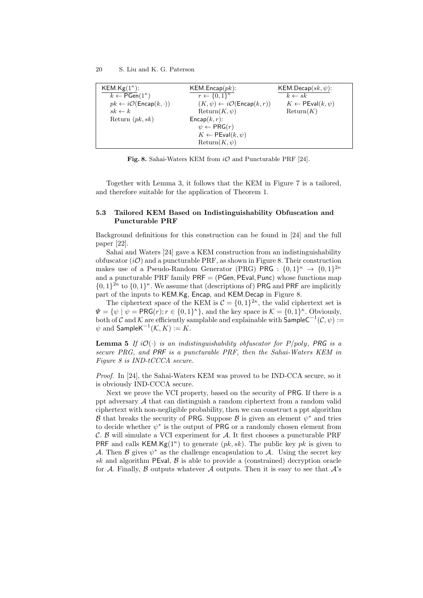| KEM.Kg $(1^{\kappa})$ :                                | KEM.Encap(pk):                                            | KEM.Decap $(sk, \psi)$ :               |
|--------------------------------------------------------|-----------------------------------------------------------|----------------------------------------|
| $k \leftarrow \overline{\mathsf{PGen}}(1^{\kappa})$    | $r \leftarrow \{0,1\}^{\kappa}$                           | $k \leftarrow sk$                      |
| $pk \leftarrow i\mathcal{O}(\mathsf{Encap}(k, \cdot))$ | $(K, \psi) \leftarrow i\mathcal{O}(\mathsf{Encap}(k, r))$ | $K \leftarrow \mathsf{PEval}(k, \psi)$ |
| $sk \leftarrow k$                                      | $Return(K, \psi)$                                         | Return(K)                              |
| Return $(pk, sk)$                                      | $\mathsf{Encap}(k,r)$ :                                   |                                        |
|                                                        | $\psi \leftarrow PRG(r)$                                  |                                        |
|                                                        | $K \leftarrow \mathsf{PEval}(k, \psi)$                    |                                        |
|                                                        | $Return(K, \psi)$                                         |                                        |

Fig. 8. Sahai-Waters KEM from  $i\mathcal{O}$  and Puncturable PRF [24].

Together with Lemma 3, it follows that the KEM in Figure 7 is a tailored, and therefore suitable for the application of Theorem 1.

# 5.3 Tailored KEM Based on Indistinguishability Obfuscation and Puncturable PRF

Background definitions for this construction can be found in [24] and the full paper [22].

Sahai and Waters [24] gave a KEM construction from an indistinguishability obfuscator  $(i\mathcal{O})$  and a puncturable PRF, as shown in Figure 8. Their construction makes use of a Pseudo-Random Generator (PRG) PRG :  $\{0,1\}^{\kappa} \rightarrow \{0,1\}^{2\kappa}$ and a puncturable PRF family  $PRF = (PGen, PEval, Punc)$  whose functions map  $\{0,1\}^{2\kappa}$  to  $\{0,1\}^{\kappa}$ . We assume that (descriptions of) PRG and PRF are implicitly part of the inputs to KEM.Kg, Encap, and KEM.Decap in Figure 8.

The ciphertext space of the KEM is  $C = \{0,1\}^{2\kappa}$ , the valid ciphertext set is  $\Psi = {\psi \mid \psi = \textsf{PRG}(r); r \in \{0,1\}^{\kappa} \},$  and the key space is  $\mathcal{K} = \{0,1\}^{\kappa}$ . Obviously, both of C and K are efficiently samplable and explainable with  $\mathsf{SampleC}^{-1}(\mathcal{C}, \psi) :=$  $\psi$  and  $\mathsf{SampleK}^{-1}(\mathcal{K}, K) := K.$ 

**Lemma 5** If  $i\mathcal{O}(\cdot)$  is an indistinguishability obfuscator for P/poly, PRG is a secure PRG, and PRF is a puncturable PRF, then the Sahai-Waters KEM in Figure 8 is IND-tCCCA secure.

Proof. In [24], the Sahai-Waters KEM was proved to be IND-CCA secure, so it is obviously IND-CCCA secure.

Next we prove the VCI property, based on the security of PRG. If there is a ppt adversary  $A$  that can distinguish a random ciphertext from a random valid ciphertext with non-negligible probability, then we can construct a ppt algorithm B that breaks the security of PRG. Suppose B is given an element  $\psi^*$  and tries to decide whether  $\psi^*$  is the output of PRG or a randomly chosen element from  $\mathcal{C}$ .  $\mathcal{B}$  will simulate a VCI experiment for  $\mathcal{A}$ . It first chooses a puncturable PRF PRF and calls KEM.Kg( $1^{\kappa}$ ) to generate ( $pk, sk$ ). The public key  $pk$  is given to A. Then B gives  $\psi^*$  as the challenge encapsulation to A. Using the secret key sk and algorithm PEval,  $\beta$  is able to provide a (constrained) decryption oracle for A. Finally, B outputs whatever A outputs. Then it is easy to see that  $A$ 's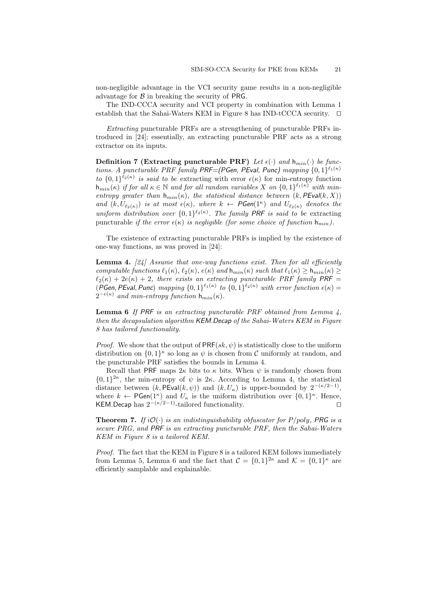non-negligible advantage in the VCI security game results in a non-negligible advantage for  $\beta$  in breaking the security of PRG.

The IND-CCCA security and VCI property in combination with Lemma 1 establish that the Sahai-Waters KEM in Figure 8 has IND-tCCCA security.  $\square$ 

Extracting puncturable PRFs are a strengthening of puncturable PRFs introduced in [24]; essentially, an extracting puncturable PRF acts as a strong extractor on its inputs.

Definition 7 (Extracting puncturable PRF) Let  $\epsilon(\cdot)$  and  $h_{min}(\cdot)$  be functions. A puncturable PRF family PRF=(PGen, PEval, Punc) mapping  $\{0,1\}^{\ell_1(\kappa)}$ to  $\{0,1\}^{\ell_2(\kappa)}$  is said to be extracting with error  $\epsilon(\kappa)$  for min-entropy function  $h_{min}(\kappa)$  if for all  $\kappa \in \mathbb{N}$  and for all random variables X on  $\{0,1\}^{\ell_1(\kappa)}$  with minentropy greater than  $h_{min}(\kappa)$ , the statistical distance between  $(k, PEval(k, X))$ and  $(k, U_{\ell_2(\kappa)})$  is at most  $\epsilon(\kappa)$ , where  $k \leftarrow \mathsf{PGen}(1^{\kappa})$  and  $U_{\ell_2(\kappa)}$  denotes the uniform distribution over  $\{0,1\}^{\ell_2(\kappa)}$ . The family PRF is said to be extracting puncturable if the error  $\epsilon(\kappa)$  is negligible (for some choice of function  $h_{min}$ ).

The existence of extracting puncturable PRFs is implied by the existence of one-way functions, as was proved in [24]:

**Lemma 4.** [24] Assume that one-way functions exist. Then for all efficiently computable functions  $\ell_1(\kappa)$ ,  $\ell_2(\kappa)$ ,  $e(\kappa)$  and  $h_{min}(\kappa)$  such that  $\ell_1(\kappa) > h_{min}(\kappa)$  $\ell_2(\kappa) + 2e(\kappa) + 2$ , there exists an extracting puncturable PRF family PRF = (PGen, PEval, Punc) mapping  $\{0,1\}^{\ell_1(\kappa)}$  to  $\{0,1\}^{\ell_2(\kappa)}$  with error function  $\epsilon(\kappa)$  =  $2^{-e(\kappa)}$  and min-entropy function  $h_{min}(\kappa)$ .

**Lemma 6** If PRF is an extracting puncturable PRF obtained from Lemma  $\lambda$ , then the decapsulation algorithm KEM.Decap of the Sahai-Waters KEM in Figure 8 has tailored functionality.

*Proof.* We show that the output of  $PRF(sk, \psi)$  is statistically close to the uniform distribution on  $\{0,1\}^{\kappa}$  so long as  $\psi$  is chosen from C uniformly at random, and the puncturable PRF satisfies the bounds in Lemma 4.

Recall that PRF maps  $2\kappa$  bits to  $\kappa$  bits. When  $\psi$  is randomly chosen from  $\{0,1\}^{2\kappa}$ , the min-entropy of  $\psi$  is  $2\kappa$ . According to Lemma 4, the statistical distance between  $(k, PEval(k, \psi))$  and  $(k, U_{\kappa})$  is upper-bounded by  $2^{-(\kappa/2-1)}$ , where  $k \leftarrow \mathsf{PGen}(1^{\kappa})$  and  $U_{\kappa}$  is the uniform distribution over  $\{0,1\}^{\kappa}$ . Hence, KEM.Decap has  $2^{-(\kappa/2-1)}$ -tailored functionality. □

**Theorem 7.** If  $i\mathcal{O}(\cdot)$  is an indistinguishability obfuscator for P/poly, PRG is a secure PRG, and PRF is an extracting puncturable PRF, then the Sahai-Waters KEM in Figure 8 is a tailored KEM.

Proof. The fact that the KEM in Figure 8 is a tailored KEM follows immediately from Lemma 5, Lemma 6 and the fact that  $C = \{0,1\}^{2\kappa}$  and  $\mathcal{K} = \{0,1\}^{\kappa}$  are efficiently samplable and explainable.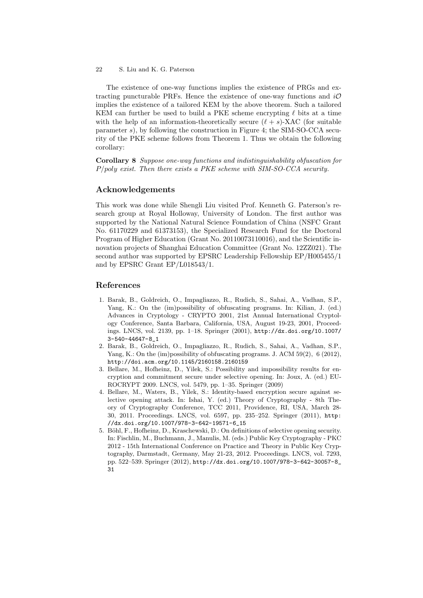The existence of one-way functions implies the existence of PRGs and extracting puncturable PRFs. Hence the existence of one-way functions and  $i\mathcal{O}$ implies the existence of a tailored KEM by the above theorem. Such a tailored KEM can further be used to build a PKE scheme encrypting  $\ell$  bits at a time with the help of an information-theoretically secure  $(\ell + s)$ -XAC (for suitable parameter s), by following the construction in Figure 4; the SIM-SO-CCA security of the PKE scheme follows from Theorem 1. Thus we obtain the following corollary:

Corollary 8 Suppose one-way functions and indistinguishability obfuscation for P/poly exist. Then there exists a PKE scheme with SIM-SO-CCA security.

# Acknowledgements

This work was done while Shengli Liu visited Prof. Kenneth G. Paterson's research group at Royal Holloway, University of London. The first author was supported by the National Natural Science Foundation of China (NSFC Grant No. 61170229 and 61373153), the Specialized Research Fund for the Doctoral Program of Higher Education (Grant No. 20110073110016), and the Scientific innovation projects of Shanghai Education Committee (Grant No. 12ZZ021). The second author was supported by EPSRC Leadership Fellowship EP/H005455/1 and by EPSRC Grant EP/L018543/1.

# References

- 1. Barak, B., Goldreich, O., Impagliazzo, R., Rudich, S., Sahai, A., Vadhan, S.P., Yang, K.: On the (im)possibility of obfuscating programs. In: Kilian, J. (ed.) Advances in Cryptology - CRYPTO 2001, 21st Annual International Cryptology Conference, Santa Barbara, California, USA, August 19-23, 2001, Proceedings. LNCS, vol. 2139, pp. 1–18. Springer (2001), http://dx.doi.org/10.1007/ 3-540-44647-8\_1
- 2. Barak, B., Goldreich, O., Impagliazzo, R., Rudich, S., Sahai, A., Vadhan, S.P., Yang, K.: On the  $(im)$  possibility of obfuscating programs. J. ACM  $59(2)$ , 6 (2012), http://doi.acm.org/10.1145/2160158.2160159
- 3. Bellare, M., Hofheinz, D., Yilek, S.: Possibility and impossibility results for encryption and commitment secure under selective opening. In: Joux, A. (ed.) EU-ROCRYPT 2009. LNCS, vol. 5479, pp. 1–35. Springer (2009)
- 4. Bellare, M., Waters, B., Yilek, S.: Identity-based encryption secure against selective opening attack. In: Ishai, Y. (ed.) Theory of Cryptography - 8th Theory of Cryptography Conference, TCC 2011, Providence, RI, USA, March 28- 30, 2011. Proceedings. LNCS, vol. 6597, pp. 235–252. Springer (2011), http: //dx.doi.org/10.1007/978-3-642-19571-6\_15
- 5. Böhl, F., Hofheinz, D., Kraschewski, D.: On definitions of selective opening security. In: Fischlin, M., Buchmann, J., Manulis, M. (eds.) Public Key Cryptography - PKC 2012 - 15th International Conference on Practice and Theory in Public Key Cryptography, Darmstadt, Germany, May 21-23, 2012. Proceedings. LNCS, vol. 7293, pp. 522–539. Springer (2012), http://dx.doi.org/10.1007/978-3-642-30057-8\_ 31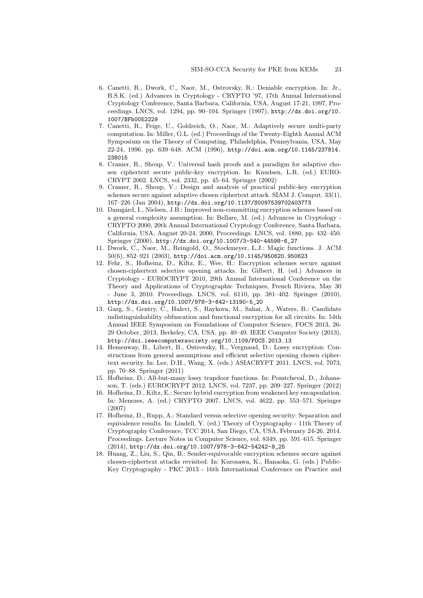- 6. Canetti, R., Dwork, C., Naor, M., Ostrovsky, R.: Deniable encryption. In: Jr., B.S.K. (ed.) Advances in Cryptology - CRYPTO '97, 17th Annual International Cryptology Conference, Santa Barbara, California, USA, August 17-21, 1997, Proceedings. LNCS, vol. 1294, pp. 90–104. Springer (1997), http://dx.doi.org/10. 1007/BFb0052229
- 7. Canetti, R., Feige, U., Goldreich, O., Naor, M.: Adaptively secure multi-party computation. In: Miller, G.L. (ed.) Proceedings of the Twenty-Eighth Annual ACM Symposium on the Theory of Computing, Philadelphia, Pennsylvania, USA, May 22-24, 1996. pp. 639–648. ACM (1996), http://doi.acm.org/10.1145/237814. 238015
- 8. Cramer, R., Shoup, V.: Universal hash proofs and a paradigm for adaptive chosen ciphertext secure public-key encryption. In: Knudsen, L.R. (ed.) EURO-CRYPT 2002. LNCS, vol. 2332, pp. 45–64. Springer (2002)
- 9. Cramer, R., Shoup, V.: Design and analysis of practical public-key encryption schemes secure against adaptive chosen ciphertext attack. SIAM J. Comput. 33(1), 167–226 (Jan 2004), http://dx.doi.org/10.1137/S0097539702403773
- 10. Damgård, I., Nielsen, J.B.: Improved non-committing encryption schemes based on a general complexity assumption. In: Bellare, M. (ed.) Advances in Cryptology - CRYPTO 2000, 20th Annual International Cryptology Conference, Santa Barbara, California, USA, August 20-24, 2000, Proceedings. LNCS, vol. 1880, pp. 432–450. Springer (2000), http://dx.doi.org/10.1007/3-540-44598-6\_27
- 11. Dwork, C., Naor, M., Reingold, O., Stockmeyer, L.J.: Magic functions. J. ACM 50(6), 852–921 (2003), http://doi.acm.org/10.1145/950620.950623
- 12. Fehr, S., Hofheinz, D., Kiltz, E., Wee, H.: Encryption schemes secure against chosen-ciphertext selective opening attacks. In: Gilbert, H. (ed.) Advances in Cryptology - EUROCRYPT 2010, 29th Annual International Conference on the Theory and Applications of Cryptographic Techniques, French Riviera, May 30 - June 3, 2010. Proceedings. LNCS, vol. 6110, pp. 381–402. Springer (2010), http://dx.doi.org/10.1007/978-3-642-13190-5\_20
- 13. Garg, S., Gentry, C., Halevi, S., Raykova, M., Sahai, A., Waters, B.: Candidate indistinguishability obfuscation and functional encryption for all circuits. In: 54th Annual IEEE Symposium on Foundations of Computer Science, FOCS 2013, 26- 29 October, 2013, Berkeley, CA, USA. pp. 40–49. IEEE Computer Society (2013), http://doi.ieeecomputersociety.org/10.1109/FOCS.2013.13
- 14. Hemenway, B., Libert, B., Ostrovsky, R., Vergnaud, D.: Lossy encryption: Constructions from general assumptions and efficient selective opening chosen ciphertext security. In: Lee, D.H., Wang, X. (eds.) ASIACRYPT 2011. LNCS, vol. 7073, pp. 70–88. Springer (2011)
- 15. Hofheinz, D.: All-but-many lossy trapdoor functions. In: Pointcheval, D., Johansson, T. (eds.) EUROCRYPT 2012. LNCS, vol. 7237, pp. 209–227. Springer (2012)
- 16. Hofheinz, D., Kiltz, E.: Secure hybrid encryption from weakened key encapsulation. In: Menezes, A. (ed.) CRYPTO 2007. LNCS, vol. 4622, pp. 553–571. Springer (2007)
- 17. Hofheinz, D., Rupp, A.: Standard versus selective opening security: Separation and equivalence results. In: Lindell, Y. (ed.) Theory of Cryptography - 11th Theory of Cryptography Conference, TCC 2014, San Diego, CA, USA, February 24-26, 2014. Proceedings. Lecture Notes in Computer Science, vol. 8349, pp. 591–615. Springer (2014), http://dx.doi.org/10.1007/978-3-642-54242-8\_25
- 18. Huang, Z., Liu, S., Qin, B.: Sender-equivocable encryption schemes secure against chosen-ciphertext attacks revisited. In: Kurosawa, K., Hanaoka, G. (eds.) Public-Key Cryptography - PKC 2013 - 16th International Conference on Practice and